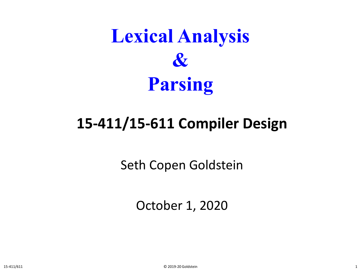

#### **15-411/15-611 Compiler Design**

Seth Copen Goldstein

October 1, 2020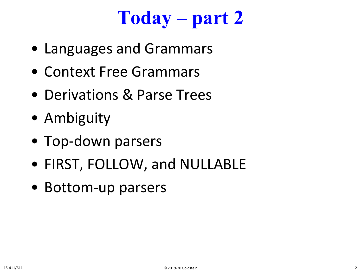## **Today – part 2**

- Languages and Grammars
- Context Free Grammars
- Derivations & Parse Trees
- Ambiguity
- Top-down parsers
- FIRST, FOLLOW, and NULLABLE
- Bottom-up parsers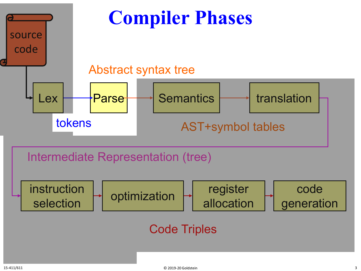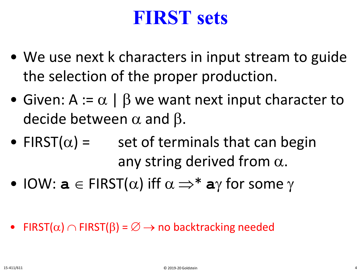## **FIRST sets**

- We use next k characters in input stream to guide the selection of the proper production.
- Given: A :=  $\alpha$  |  $\beta$  we want next input character to decide between  $\alpha$  and  $\beta$ .
- FIRST( $\alpha$ ) = set of terminals that can begin any string derived from  $\alpha$ .
- IOW:  $a \in FIRST(\alpha)$  iff  $\alpha \Rightarrow^* a\gamma$  for some  $\gamma$
- FIRST( $\alpha$ )  $\cap$  FIRST( $\beta$ ) =  $\emptyset \rightarrow$  no backtracking needed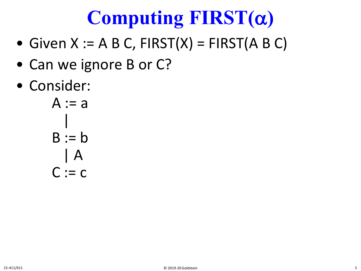## **Computing FIRST(**α**)**

- Given  $X := A B C$ ,  $FIRST(X) = FIRST(A B C)$
- Can we ignore B or C?
- Consider:

$$
A := a
$$
  

$$
B := b
$$
  

$$
A
$$
  

$$
C := c
$$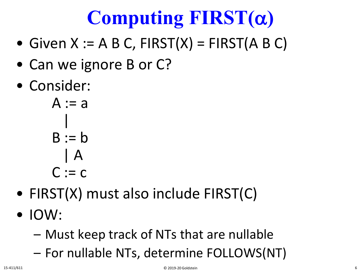# **Computing FIRST(**α**)**

- Given  $X := A B C$ ,  $FIRST(X) = FIRST(A B C)$
- Can we ignore B or C?
- Consider:

 $A := a$ |  $B := b$ | A  $C := c$ 

- FIRST(X) must also include FIRST(C)
- IOW:
	- Must keep track of NTs that are nullable
	- For nullable NTs, determine FOLLOWS(NT)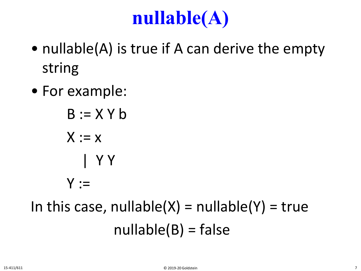## **nullable(A)**

- nullable(A) is true if A can derive the empty string
- For example:
	- $B := X Y b$  $X := x$ | Y Y  $Y :=$

## In this case, nullable $(X)$  = nullable $(Y)$  = true  $nullable(B) = false$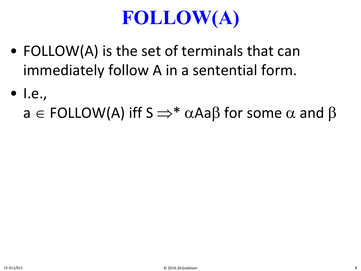## **FOLLOW(A)**

- FOLLOW(A) is the set of terminals that can immediately follow A in a sentential form.
- I.e.,
	- $a \in \text{FOLLOW}(A)$  iff  $S \Rightarrow^* \alpha A \in \beta$  for some  $\alpha$  and  $\beta$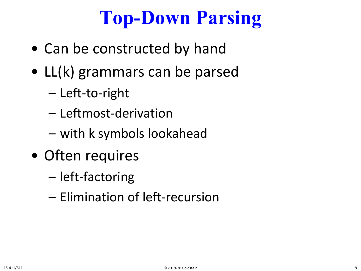## **Top-Down Parsing**

- Can be constructed by hand
- LL(k) grammars can be parsed
	- Left-to-right
	- Leftmost-derivation
	- with k symbols lookahead
- Often requires
	- left-factoring
	- Elimination of left-recursion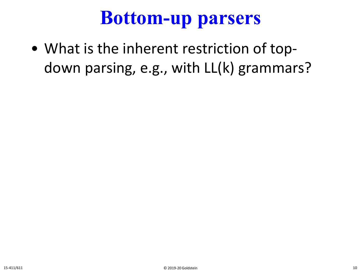## **Bottom-up parsers**

• What is the inherent restriction of topdown parsing, e.g., with LL(k) grammars?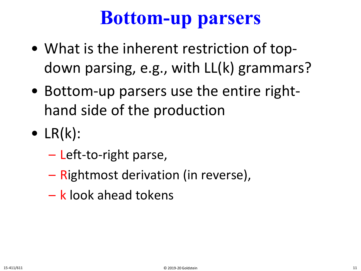## **Bottom-up parsers**

- What is the inherent restriction of topdown parsing, e.g., with LL(k) grammars?
- Bottom-up parsers use the entire righthand side of the production
- $\bullet$  LR(k):
	- Left-to-right parse,
	- Rightmost derivation (in reverse),
	- k look ahead tokens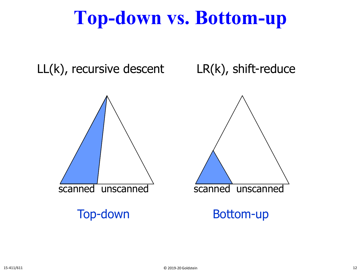## **Top-down vs. Bottom-up**

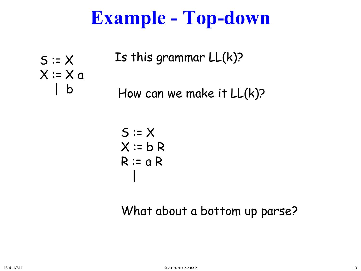## **Example - Top-down**

 $S = X$  $X = X a$  $\mathsf b$ Is this grammar LL(k)? How can we make it LL(k)?

$$
S := X
$$
  

$$
X := b R
$$
  

$$
R := a R
$$

What about a bottom up parse?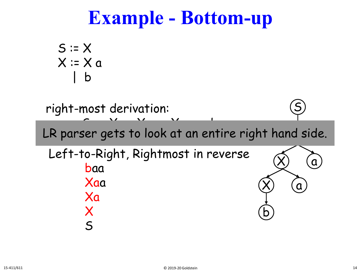## **Example - Bottom-up**

$$
S := X
$$
  

$$
X := X a
$$
  

$$
\begin{array}{c} 1 \quad b \quad \text{and} \quad \\ 1 \quad b \quad \text{and} \quad \\ 1 \quad b \quad \text{and} \quad \\ 1 \quad b \quad \text{and} \quad \\ 1 \quad b \quad \text{and} \quad \\ 1 \quad \text{and} \quad \\ 1 \quad \text{and} \quad \\ 1 \quad \text{and} \quad \\ 1 \quad \text{and} \quad \\ 1 \quad \text{and} \quad \\ 1 \quad \text{and} \quad \\ 1 \quad \text{and} \quad \\ 1 \quad \text{and} \quad \\ 1 \quad \text{and} \quad \\ 1 \quad \text{and} \quad \\ 1 \quad \text{and} \quad \\ 1 \quad \text{and} \quad \\ 1 \quad \text{and} \quad \\ 1 \quad \text{and} \quad \\ 1 \quad \text{and} \quad \\ 1 \quad \text{and} \quad \\ 1 \quad \text{and} \quad \\ 1 \quad \text{and} \quad \\ 1 \quad \text{and} \quad \\ 1 \quad \text{and} \quad \\ 1 \quad \text{and} \quad \\ 1 \quad \text{and} \quad \\ 1 \quad \text{and} \quad \\ 1 \quad \text{and} \quad \\ 1 \quad \text{and} \quad \\ 1 \quad \text{and} \quad \\ 1 \quad \text{and} \quad \\ 1 \quad \text{and} \quad \\ 1 \quad \text{and} \quad \\ 1 \quad \text{and} \quad \\ 1 \quad \text{and} \quad \\ 1 \quad \text{and} \quad \\ 1 \quad \text{and} \quad \\ 1 \quad \text{and} \quad \\ 1 \quad \text{and} \quad \\ 1 \quad \text{and} \quad \\ 1 \quad \text{and} \quad \\ 1 \quad \text{and} \quad \\ 1 \quad \text{and} \quad \\ 1 \quad \text{and} \quad \\ 1 \quad \text{and} \quad \\ 1 \quad \text{and} \quad \\ 1 \quad \text{and} \quad \\ 1 \quad \text{and} \quad \\ 1 \quad \text{and} \quad \\ 1 \quad \text{and} \quad \\ 1 \quad \text{and} \quad \\ 1 \quad \text{and} \quad \\ 1 \quad \text{and} \quad \\ 1 \quad \text{and} \quad \\ 1 \quad \text{and} \quad \\ 1 \quad \text{and} \quad \\ 1 \quad \text{and} \quad \\ 1 \quad \text{and} \quad \\ 1 \
$$

right-most derivation:

S ⇒ Xa ⇒ Xaa ⇒ Xaa ⇒ baada ⇒ baada ⇒ baada ⇒ baada ⇒ baada ⇒ baada ⇒ baada ⇒ baada ⇒ baada ⇒ baada ⇒ baada ⇒ b<br>S → baada → baada → baada → baada → baada → baada → baada → baada → baada → baada → baada → baada → baada → ba X LR parser gets to look at an entire right hand side.

Left-to-Right, Rightmost in reverse baa Xaa Xa X S b

 $\chi)$  (a

 $\mathbf a$ 

S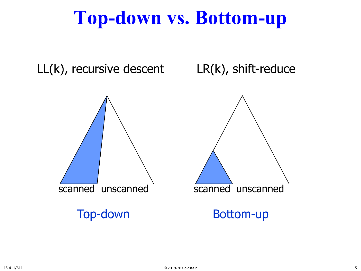## **Top-down vs. Bottom-up**

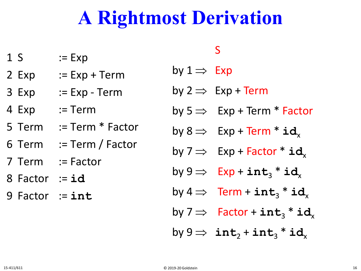## **A Rightmost Derivation**

- $1 S$  := Exp
- 2 Exp  $:=$  Exp + Term
- 3 Exp := Exp Term
- 4 Exp := Term
- 5 Term := Term \* Factor
- 6 Term := Term / Factor
- 7 Term := Factor
- 8 Factor := **id**
- 9 Factor := **int**

#### S

by  $1 \Rightarrow Exp$ 

- by  $2 \Rightarrow Exp + Term$
- by  $5 \Rightarrow$  Exp + Term \* Factor
- by  $8 \Rightarrow$  Exp + Term  $*$  id<sub>x</sub>
- by  $7 \implies$  Exp + Factor  $*$  **id**<sub>x</sub>
- by  $9 \implies$  Exp +  $\texttt{int}_3$  \*  $\texttt{id}_x$
- by  $4 \Rightarrow$  Term +  $int_3 * id$ <sub>x</sub>
- by  $7 \Rightarrow$  Factor +  $\texttt{int}_3$   $*$   $\texttt{id}_x$
- $by 9 \Rightarrow$  **int**<sub>2</sub> + **int**<sub>3</sub> \* **id**<sub>x</sub>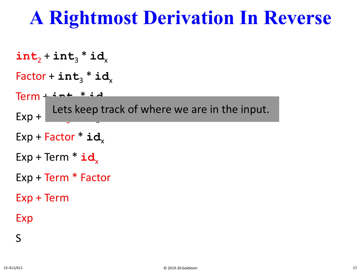```
int_2 + int_3 * id<sub>x</sub>
Factor + int_3 * idTerm + int3 * idx
Exp +
Exp + Factor * id<sub>x</sub>
Exp + Term * id<sub>x</sub>
Exp + Term * Factor
Exp + Term
Exp
        Lets keep track of where we are in the input.
```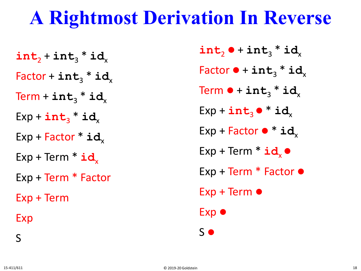$int_2 + int_3 * id$ <sub>x</sub>  $Factor + int_3 * id$  $Term + int_3 * id$  $Exp + int_3 * id$  $Exp + Factor * id$ <sub>x</sub> Exp + Term  $*$  **id**<sub>x</sub> Exp + Term \* Factor Exp + Term Exp

 $\mathbf{int}_{2} \bullet + \mathbf{int}_{3} * \mathbf{id}_{3}$  $Factor \cdot \textbf{int}_3 * \textbf{id}_3$ Term  $\bullet$  +  $\texttt{int}_3$  \*  $\texttt{id}_x$  $Exp + int_3 \bullet * id$  $Exp + Factor \cdot * id$ <sub>x</sub>  $Exp + Term * id \bullet$ Exp + Term  $*$  Factor  $\bullet$ Exp + Term Exp  $\bullet$ S

S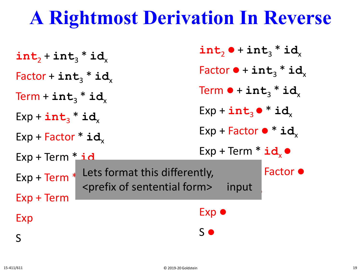| $int_2 + int_3 * id$      | int, $\bullet$ + int, * id,                                                                                  |
|---------------------------|--------------------------------------------------------------------------------------------------------------|
| Factor + $int_3$ * $id_x$ | Factor $\bullet$ + int <sub>3</sub> * id <sub>x</sub>                                                        |
| Term + $int_3$ * $id_x$   | Term $\bullet$ + int <sub>3</sub> * id <sub>x</sub>                                                          |
| $Exp + int_3 * id_x$      | $Exp + int_3 \bullet * id_x$                                                                                 |
| $Exp + Factor * id$       | $Exp + Factor \cdot \mathbf{id}_x$                                                                           |
| $Exp + Term * id$         | $Exp + Term * id \bullet$                                                                                    |
| $Exp + Term$ <sup>*</sup> | Factor $\bullet$<br>Lets format this differently,<br><prefix form="" of="" sentential=""><br/>input</prefix> |
| $Exp + Term$              |                                                                                                              |
| Exp                       | $Exp$ $\bullet$                                                                                              |
| S                         | $S$ $\bullet$                                                                                                |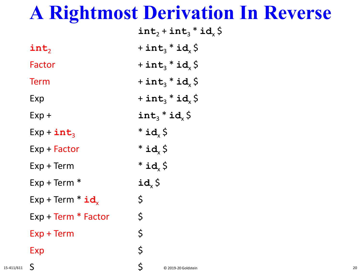|                     | $int_2 + int_3 * id_x \$                    |
|---------------------|---------------------------------------------|
| $\texttt{int}_2$    | + int <sub>3</sub> $*$ id <sub>x</sub> \$   |
| Factor              | + int <sub>3</sub> $*$ id <sub>x</sub> \$   |
| <b>Term</b>         | $+$ int <sub>3</sub> $*$ id <sub>x</sub> \$ |
| Exp                 | + int <sub>3</sub> $*$ id <sub>x</sub> \$   |
| $Exp +$             | $int_3 * id_x$ \$                           |
| $Exp + int_3$       | $*id_{x}$ \$                                |
| Exp + Factor        | $*id_{x}$ \$                                |
| $Exp + Term$        | $*id_{x}$ \$                                |
| $Exp + Term *$      | $id_x \, \zeta$                             |
| $Exp + Term * id$   | \$                                          |
| Exp + Term * Factor | \$                                          |
| Exp + Term          | \$                                          |
| Exp                 | \$                                          |
|                     |                                             |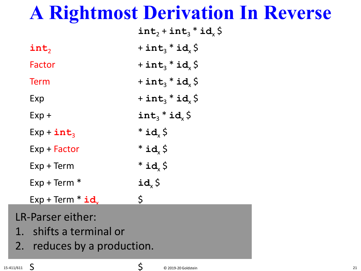|                             | $int_2 + int_3 * id_2 \$                    |
|-----------------------------|---------------------------------------------|
| $\texttt{int}_2$            | + int <sub>3</sub> $*$ id <sub>x</sub> \$   |
| Factor                      | $+$ int <sub>3</sub> $*$ id <sub>x</sub> \$ |
| <b>Term</b>                 | $+$ int <sub>3</sub> $*$ id <sub>x</sub> \$ |
| Exp                         | $+$ int <sub>3</sub> $*$ id <sub>x</sub> \$ |
| $Exp +$                     | $int_3 * id_x$ \$                           |
| $Exp + int_3$               | $*id_{x}$ \$                                |
| $Exp + Factor$              | $*id_{x}$ \$                                |
| $Exp + Term$                | $*id_{x}$ \$                                |
| $Exp + Term *$              | $id_x \, \zeta$                             |
| $Exp + Term * id$           | $\zeta$                                     |
| LR-Parser either:           |                                             |
| 1. shifts a terminal or     |                                             |
| 2. reduces by a production. |                                             |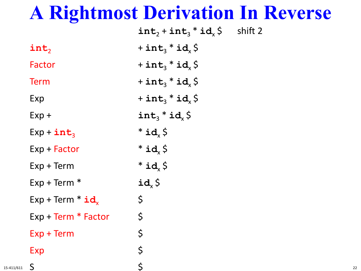|                       | $int_2 + int_3 * id_x \xi$ shift 2        |  |
|-----------------------|-------------------------------------------|--|
| $\texttt{int}_2$      | + int <sub>3</sub> $*$ id <sub>x</sub> \$ |  |
| Factor                | + $int_3$ * $id_x$ \$                     |  |
| <b>Term</b>           | + int <sub>3</sub> $*$ id <sub>x</sub> \$ |  |
| Exp                   | + int <sub>3</sub> $*$ id <sub>x</sub> \$ |  |
| $Exp +$               | $int_3 * id_x$ \$                         |  |
| $Exp + int_3$         | $*id_{x}$ \$                              |  |
| Exp + Factor          | $*id_{x}$ \$                              |  |
| $Exp + Term$          | $*id_{x}$ \$                              |  |
| $Exp + Term *$        | $id_x \, \zeta$                           |  |
| $Exp + Term * id$     | $\varsigma$                               |  |
| $Exp + Term * Factor$ | $\varsigma$                               |  |
| $Exp + Term$          | \$                                        |  |
| Exp                   | \$                                        |  |
| S                     | $\zeta$                                   |  |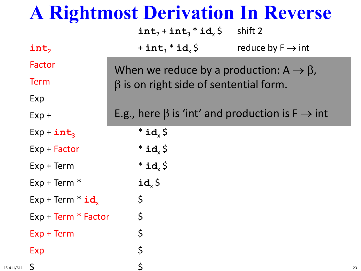| <b>A Rightmost Derivation In Reverse</b> |                                                                   |                               |
|------------------------------------------|-------------------------------------------------------------------|-------------------------------|
|                                          | $int_2 + int_3 * id_x$ \$                                         | shift 2                       |
| int,                                     | $+$ int <sub>3</sub> $*$ id <sub>x</sub> \$                       | reduce by $F \rightarrow int$ |
| Factor                                   | When we reduce by a production: $A \rightarrow \beta$ ,           |                               |
| <b>Term</b>                              | $\beta$ is on right side of sentential form.                      |                               |
| Exp                                      |                                                                   |                               |
| $Exp +$                                  | E.g., here $\beta$ is 'int' and production is $F \rightarrow int$ |                               |
| $Exp + int_3$                            | $*$ id $\zeta$                                                    |                               |
| $Exp + Factor$                           | $*id_{x}$ \$                                                      |                               |
| $Exp + Term$                             | $*id_{x}$ \$                                                      |                               |
| $Exp + Term *$                           | $id_x \, \zeta$                                                   |                               |
| $Exp + Term * id$                        | $\varsigma$                                                       |                               |
| $Exp + Term * Factor$                    | \$                                                                |                               |
| $Exp + Term$                             |                                                                   |                               |
| <b>Exp</b>                               | \$                                                                |                               |
| $\mathsf{S}$                             | $\mathsf{S}$                                                      |                               |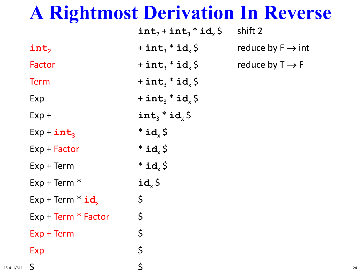| $\frac{1}{2}$         | <u>STIP COOLS TO THE STAT</u> |                               |
|-----------------------|-------------------------------|-------------------------------|
|                       | $int_2 + int_3 * id_x S$      | shift 2                       |
| int,                  | + $int_3$ * $id_x$ \$         | reduce by $F \rightarrow int$ |
| Factor                | + $int_3$ * $id_x$ \$         | reduce by $T \rightarrow F$   |
| <b>Term</b>           | + $int_3$ * $id_x$ \$         |                               |
| Exp                   | + $int_3$ * $id_x$ \$         |                               |
| $Exp +$               | $int_3 * id_x$ \$             |                               |
| $Exp + int_3$         | $*id_{x}$ \$                  |                               |
| $Exp + Factor$        | $*id_{x}$ \$                  |                               |
| $Exp + Term$          | $*id_{x}$ \$                  |                               |
| $Exp + Term *$        | $id_x \, \zeta$               |                               |
| $Exp + Term * id$     | \$                            |                               |
| $Exp + Term * Factor$ | \$                            |                               |
| $Exp + Term$          | \$                            |                               |
| Exp                   | \$                            |                               |
| $\mathsf{S}$          | $\zeta$                       |                               |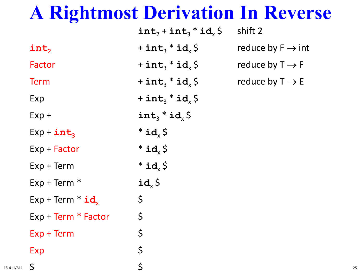|                       | $int_2 + int_3 * id_x$ \$                 | shift 2                       |
|-----------------------|-------------------------------------------|-------------------------------|
| $\texttt{int}_2$      | + int <sub>3</sub> $*$ id <sub>x</sub> \$ | reduce by $F \rightarrow int$ |
| Factor                | + $int_3$ * $id_x$ \$                     | reduce by $T \rightarrow F$   |
| <b>Term</b>           | + $int_3$ * $id_x$ \$                     | reduce by $T \rightarrow E$   |
| Exp                   | + $int_3$ * $id_x$ \$                     |                               |
| $Exp +$               | $int_3 * id_x$ \$                         |                               |
| $Exp + int_3$         | $*id_{x}$ \$                              |                               |
| Exp + Factor          | $*id_{x}$ \$                              |                               |
| $Exp + Term$          | $*id_{x}$ \$                              |                               |
| $Exp + Term *$        | $id_x \, \zeta$                           |                               |
| $Exp + Term * id$     | $\varsigma$                               |                               |
| $Exp + Term * Factor$ | $\varsigma$                               |                               |
| Exp + Term            | $\zeta$                                   |                               |
| Exp                   | \$                                        |                               |
| $\mathsf{S}$          | $\zeta$                                   |                               |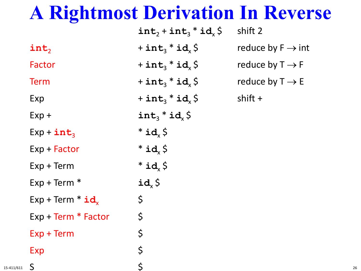| $\bullet$             |                                             |                                      |
|-----------------------|---------------------------------------------|--------------------------------------|
|                       | $int_2 + int_3 * id_x \, \zeta$             | shift 2                              |
| $\texttt{int}_2$      | + $int_3$ * $id_x$ \$                       | reduce by $F \rightarrow \text{int}$ |
| Factor                | + $int_3$ * $id_x$ \$                       | reduce by $T \rightarrow F$          |
| <b>Term</b>           | + $int_3$ * $id_x$ \$                       | reduce by $T \rightarrow E$          |
| Exp                   | $+$ int <sub>3</sub> $*$ id <sub>x</sub> \$ | shift $+$                            |
| $Exp +$               | $int_3 * id_x$ \$                           |                                      |
| $Exp + int_3$         | $*id_{x}$ \$                                |                                      |
| $Exp + Factor$        | $*id_{x}$ \$                                |                                      |
| $Exp + Term$          | $*id_{x}$ \$                                |                                      |
| $Exp + Term *$        | $id_x \, \zeta$                             |                                      |
| $Exp + Term * id_x$   | \$                                          |                                      |
| $Exp + Term * Factor$ | \$                                          |                                      |
| $Exp + Term$          | $\varsigma$                                 |                                      |
| Exp                   | \$                                          |                                      |
| S                     | $\mathsf{S}$                                |                                      |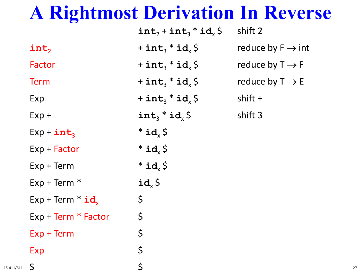| $\bullet$                      |                           |                                      |
|--------------------------------|---------------------------|--------------------------------------|
|                                | $int_2 + int_3 * id_x$ \$ | shift 2                              |
| int,                           | + $int_3$ * $id_x$ \$     | reduce by $F \rightarrow \text{int}$ |
| Factor                         | + $int_3$ * $id_x$ \$     | reduce by $T \rightarrow F$          |
| <b>Term</b>                    | + $int_3$ * $id_x$ \$     | reduce by $T \rightarrow E$          |
| Exp                            | + $int_3$ * $id_x$ \$     | shift +                              |
| $Exp +$                        | $int_3 * id_x$ \$         | shift 3                              |
| $Exp + int_3$                  | $*id_{x}$ \$              |                                      |
| $Exp + Factor$                 | $*id_{x}$ \$              |                                      |
| $Exp + Term$                   | $*id_{x}$ \$              |                                      |
| $Exp + Term *$                 | $id_x \, \zeta$           |                                      |
| $Exp + Term * id$ <sub>x</sub> | \$                        |                                      |
| $Exp + Term * Factor$          | \$                        |                                      |
| $Exp + Term$                   | \$                        |                                      |
| Exp                            | \$                        |                                      |
| $\mathsf{S}$                   | $\mathsf{S}$              |                                      |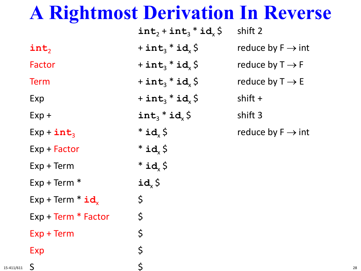|                       | $int_2 + int_3 * id_x$                    | shift 2                              |
|-----------------------|-------------------------------------------|--------------------------------------|
| int,                  | + $int_3$ * $id_x$ \$                     | reduce by $F \rightarrow \text{int}$ |
| Factor                | + $int_3$ * $id_x$ \$                     | reduce by $T \rightarrow F$          |
| <b>Term</b>           | + $int_3$ * $id_x$ \$                     | reduce by $T \rightarrow E$          |
| Exp                   | + int <sub>3</sub> $*$ id <sub>x</sub> \$ | shift $+$                            |
| $Exp +$               | $int_3 * id_x$ \$                         | shift 3                              |
| $Exp + int_3$         | $*$ id $\zeta$                            | reduce by $F \rightarrow \text{int}$ |
| $Exp + Factor$        | $*id_{x}$ \$                              |                                      |
| $Exp + Term$          | $*id_{x}$ \$                              |                                      |
| $Exp + Term *$        | $id_x \, \zeta$                           |                                      |
| $Exp + Term * id_x$   | \$                                        |                                      |
| $Exp + Term * Factor$ | \$                                        |                                      |
| $Exp + Term$          | \$                                        |                                      |
| Exp                   | \$                                        |                                      |

 $\mathsf{S}$  and  $\mathsf{S}$ 

15-411/611  $\Box$  28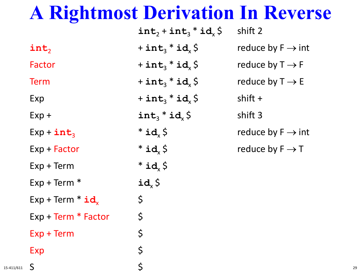|                     | $int_2 + int_3 * id_x$ \$                   | shift 2                              |
|---------------------|---------------------------------------------|--------------------------------------|
| int,                | + $int_3$ * $id_x$ \$                       | reduce by $F \rightarrow \text{int}$ |
| Factor              | + $int_3$ * $id_x$ \$                       | reduce by $T \rightarrow F$          |
| <b>Term</b>         | + $int_3$ * $id_x$ \$                       | reduce by $T \rightarrow E$          |
| Exp                 | $+$ int <sub>3</sub> $*$ id <sub>x</sub> \$ | $shift +$                            |
| $Exp +$             | $int_3 * id_x$ \$                           | shift 3                              |
| $Exp + int_3$       | $*id_{x}$ \$                                | reduce by $F \rightarrow \text{int}$ |
| $Exp + Factor$      | $*id_{x}$ \$                                | reduce by $F \rightarrow T$          |
| $Exp + Term$        | $*id_{x}$ \$                                |                                      |
| $Exp + Term *$      | $id_x \, \zeta$                             |                                      |
| $Exp + Term * id$   | \$                                          |                                      |
| Exp + Term * Factor | \$                                          |                                      |
| $Exp + Term$        | \$                                          |                                      |
| Exp                 | \$                                          |                                      |

 $\mathsf{S}$  and  $\mathsf{S}$ 

15-411/611  $\Box$  29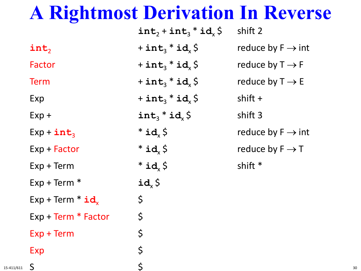|                       | $int_2 + int_3 * id_x \xi$                  | shift 2                              |
|-----------------------|---------------------------------------------|--------------------------------------|
| int,                  | $+$ int <sub>3</sub> $*$ id <sub>x</sub> \$ | reduce by $F \rightarrow \text{int}$ |
| Factor                | $+$ int <sub>3</sub> $*$ id <sub>x</sub> \$ | reduce by $T \rightarrow F$          |
| <b>Term</b>           | $+$ int <sub>3</sub> $*$ id <sub>x</sub> \$ | reduce by $T \rightarrow E$          |
| Exp                   | $+$ int <sub>3</sub> $*$ id <sub>x</sub> \$ | shift $+$                            |
| $Exp +$               | $int_3 * id_x$ \$                           | shift 3                              |
| $Exp + int_3$         | $*id_{x}$ \$                                | reduce by $F \rightarrow int$        |
| $Exp + Factor$        | $*id_{x}$ \$                                | reduce by $F \rightarrow T$          |
| $Exp + Term$          | $*id_{x}$ \$                                | shift *                              |
| $Exp + Term *$        | $id_{x}$ \$                                 |                                      |
| $Exp + Term * id$     | $\zeta$                                     |                                      |
| $Exp + Term * Factor$ | $\zeta$                                     |                                      |
| Exp + Term            | \$                                          |                                      |
| Exp                   | \$                                          |                                      |

 $\mathsf{S}$  and  $\mathsf{S}$ 

15-411/611  $\Box$  30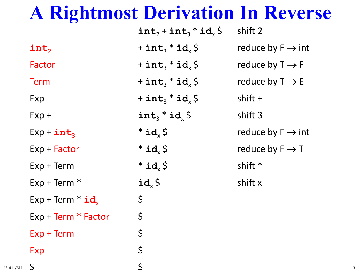|                       | $int_2 + int_3 * id_x \$                    | shift 2                              |
|-----------------------|---------------------------------------------|--------------------------------------|
| int,                  | + int <sub>3</sub> $*$ id <sub>x</sub> \$   | reduce by $F \rightarrow \text{int}$ |
| Factor                | + $int_3$ * $id_x$ \$                       | reduce by $T \rightarrow F$          |
| <b>Term</b>           | $+$ int <sub>3</sub> $*$ id <sub>x</sub> \$ | reduce by $T \rightarrow E$          |
| Exp                   | + int <sub>3</sub> $*$ id <sub>x</sub> \$   | shift $+$                            |
| $Exp +$               | $int_3 * id_x$ \$                           | shift 3                              |
| $Exp + int_3$         | $*id_{x}$ \$                                | reduce by $F \rightarrow \text{int}$ |
| $Exp + Factor$        | $*id_{x}$ \$                                | reduce by $F \rightarrow T$          |
| $Exp + Term$          | $*id_{x}$ \$                                | shift *                              |
| $Exp + Term *$        | $id_{x}$ \$                                 | shift x                              |
| $Exp + Term * id$     | \$                                          |                                      |
| $Exp + Term * Factor$ | \$                                          |                                      |
| $Exp + Term$          | \$                                          |                                      |
| Exp                   | \$                                          |                                      |

 $\mathsf{S}$  and  $\mathsf{S}$ 

15-411/611  $\sum$  31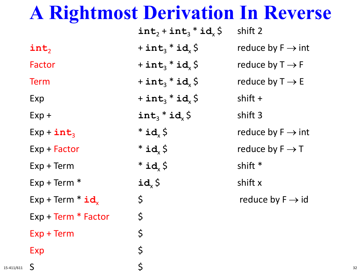|                                | $int_2 + int_3 * id_x$ \$                   | shift 2                              |
|--------------------------------|---------------------------------------------|--------------------------------------|
| int,                           | + int <sub>3</sub> $*$ id <sub>x</sub> \$   | reduce by $F \rightarrow \text{int}$ |
| Factor                         | $+$ int <sub>3</sub> $*$ id <sub>x</sub> \$ | reduce by $T \rightarrow F$          |
| <b>Term</b>                    | + $int_3$ * $id_x$ \$                       | reduce by $T \rightarrow E$          |
| Exp                            | + int <sub>3</sub> $*$ id <sub>x</sub> \$   | shift $+$                            |
| $Exp +$                        | $int_3 * id_2$ \$                           | shift 3                              |
| $Exp + int_3$                  | $*id$ , $\zeta$                             | reduce by $F \rightarrow int$        |
| $Exp + Factor$                 | $*id_{x}$ \$                                | reduce by $F \rightarrow T$          |
| $Exp + Term$                   | $*id_{x}$ \$                                | shift *                              |
| $Exp + Term *$                 | $id_x \, \zeta$                             | shift x                              |
| $Exp + Term * id$ <sub>x</sub> | \$                                          | reduce by $F \rightarrow id$         |
| Exp + Term * Factor            | \$                                          |                                      |
| $Exp + Term$                   | \$                                          |                                      |
| Exp                            | \$                                          |                                      |

 $\mathsf{S}$  and  $\mathsf{S}$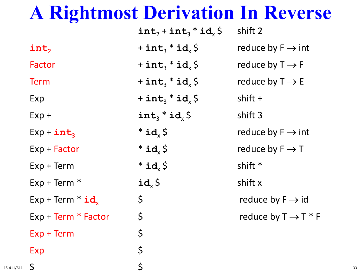|                       | $int_2 + int_3 * id_x$ \$                 | shift 2                              |
|-----------------------|-------------------------------------------|--------------------------------------|
| int,                  | + int <sub>3</sub> $*$ id <sub>x</sub> \$ | reduce by $F \rightarrow \text{int}$ |
| Factor                | + int <sub>3</sub> $*$ id <sub>x</sub> \$ | reduce by $T \rightarrow F$          |
| <b>Term</b>           | + $int_3$ * $id_x$ \$                     | reduce by $T \rightarrow E$          |
| Exp                   | + int <sub>3</sub> $*$ id <sub>x</sub> \$ | shift $+$                            |
| $Exp +$               | $int_3 * id_x$ \$                         | shift 3                              |
| $Exp + int_3$         | $*id_{x}$ \$                              | reduce by $F \rightarrow \text{int}$ |
| $Exp + Factor$        | $*id_{x}$ \$                              | reduce by $F \rightarrow T$          |
| $Exp + Term$          | $*id_{x}$ \$                              | shift *                              |
| $Exp + Term *$        | $id_{x}$ \$                               | shift x                              |
| $Exp + Term * id$     | \$                                        | reduce by $F \rightarrow id$         |
| $Exp + Term * Factor$ | \$                                        | reduce by $T \rightarrow T * F$      |
| $Exp + Term$          | \$                                        |                                      |
| Exp                   | \$                                        |                                      |

 $\mathsf{S}$  and  $\mathsf{S}$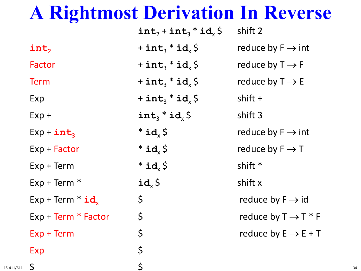|                       | $int_2 + int_3 * id_x$ \$               | shift 2                              |
|-----------------------|-----------------------------------------|--------------------------------------|
| int,                  | + $int_3$ * $id_x$ \$                   | reduce by $F \rightarrow int$        |
| Factor                | + int <sub>3</sub> * id <sub>x</sub> \$ | reduce by $T \rightarrow F$          |
| <b>Term</b>           | + $int_3$ * $id_x$ \$                   | reduce by $T \rightarrow E$          |
| Exp                   | + $int_3$ * $id_x$ \$                   | shift $+$                            |
| $Exp +$               | $int_3 * id_x$ \$                       | shift 3                              |
| $Exp + int_3$         | $*id_{x}$ \$                            | reduce by $F \rightarrow \text{int}$ |
| $Exp + Factor$        | $*id_{x}$ \$                            | reduce by $F \rightarrow T$          |
| $Exp + Term$          | $*id$ , $\zeta$                         | shift *                              |
| $Exp + Term *$        | $id_{x}$ \$                             | shift x                              |
| $Exp + Term * id$     | \$                                      | reduce by $F \rightarrow id$         |
| $Exp + Term * Factor$ | \$                                      | reduce by $T \rightarrow T * F$      |
| $Exp + Term$          | \$                                      | reduce by $E \rightarrow E + T$      |
| Exp                   | \$                                      |                                      |
|                       |                                         |                                      |

 $\mathsf{S}$  and  $\mathsf{S}$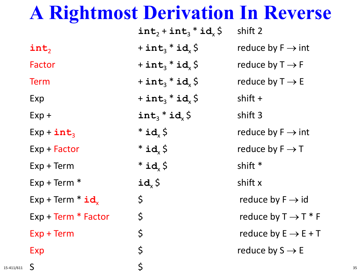|                       | $int_2 + int_3 * id_1 \$                  | shift 2                              |
|-----------------------|-------------------------------------------|--------------------------------------|
| int,                  | + $int_3$ * $id_x$ \$                     | reduce by $F \rightarrow \text{int}$ |
| Factor                | + $int_3$ * $id_x$ \$                     | reduce by $T \rightarrow F$          |
| <b>Term</b>           | + $int_3$ * $id_x$ \$                     | reduce by $T \rightarrow E$          |
| Exp                   | + int <sub>3</sub> $*$ id <sub>x</sub> \$ | shift $+$                            |
| $Exp +$               | $int_3 * id_x$ \$                         | shift 3                              |
| $Exp + int_3$         | $*id_{x}$ \$                              | reduce by $F \rightarrow \text{int}$ |
| Exp + Factor          | $*id_{x}$ \$                              | reduce by $F \rightarrow T$          |
| $Exp + Term$          | $*id_{x}$ \$                              | shift *                              |
| $Exp + Term *$        | $id_{x}$ \$                               | shift x                              |
| $Exp + Term * id$     | \$                                        | reduce by $F \rightarrow id$         |
| $Exp + Term * Factor$ | \$                                        | reduce by $T \rightarrow T * F$      |
| $Exp + Term$          | \$                                        | reduce by $E \rightarrow E + T$      |
| Exp                   | \$                                        | reduce by $S \rightarrow E$          |
| $\mathsf{S}$          | \$                                        |                                      |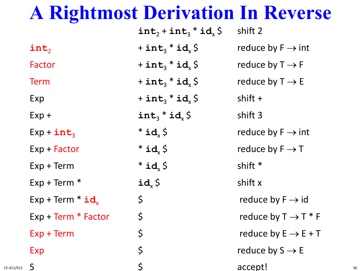|            |                                | $int_2 + int_3 * id_x$ | shift 2                              |    |
|------------|--------------------------------|------------------------|--------------------------------------|----|
|            | int,                           | + $int_3$ * $id_x$ \$  | reduce by $F \rightarrow int$        |    |
|            | Factor                         | + $int_3$ * $id_x$ \$  | reduce by $T \rightarrow F$          |    |
|            | <b>Term</b>                    | + $int_3$ * $id_x$ \$  | reduce by $T \rightarrow E$          |    |
|            | Exp                            | + $int_3$ * $id_x$ \$  | shift $+$                            |    |
|            | $Exp +$                        | $int_3 * id_x$ \$      | shift 3                              |    |
|            | $Exp + int_3$                  | $*id_{x}$ \$           | reduce by $F \rightarrow \text{int}$ |    |
|            | $Exp + Factor$                 | $*id_{x}$ \$           | reduce by $F \rightarrow T$          |    |
|            | $Exp + Term$                   | $*id_{x}$ \$           | shift *                              |    |
|            | $Exp + Term *$                 | $id_x \, \zeta$        | shift x                              |    |
|            | $Exp + Term * id$ <sub>x</sub> | $\varsigma$            | reduce by $F \rightarrow id$         |    |
|            | $Exp + Term * Factor$          | \$                     | reduce by $T \rightarrow T^*F$       |    |
|            | $Exp + Term$                   | $\varsigma$            | reduce by $E \rightarrow E + T$      |    |
|            | Exp                            | \$                     | reduce by $S \rightarrow E$          |    |
| 15-411/611 | S.                             | $\mathsf{S}$           | accept!                              | 36 |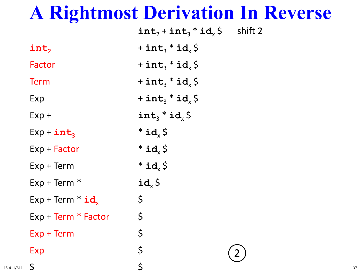|            |                                | $int_2 + int_3 * id_x \xi$ shift 2        |    |
|------------|--------------------------------|-------------------------------------------|----|
|            | $\texttt{int}_2$               | + $int_3$ * $id_x$ \$                     |    |
|            | Factor                         | + $int_3$ * $id_x$ \$                     |    |
|            | <b>Term</b>                    | + $int_3$ * $id_x$ \$                     |    |
|            | Exp                            | + int <sub>3</sub> $*$ id <sub>x</sub> \$ |    |
|            | $Exp +$                        | $int_3 * id_x S$                          |    |
|            | $Exp + int_3$                  | $*id_{x}$ \$                              |    |
|            | Exp + Factor                   | $*id_{x}$ \$                              |    |
|            | $Exp + Term$                   | $*id_{x}$ \$                              |    |
|            | $Exp + Term *$                 | $id_x \, \zeta$                           |    |
|            | $Exp + Term * id$ <sub>x</sub> | $\varsigma$                               |    |
|            | Exp + Term * Factor            | \$                                        |    |
|            | $Exp + Term$                   | \$                                        |    |
|            | Exp                            | \$                                        |    |
| 15-411/611 | S                              | $\mathsf{S}$                              | 37 |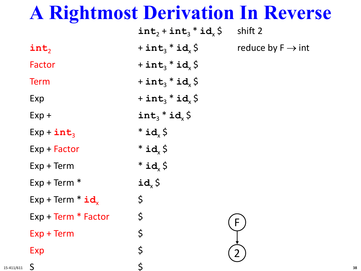| $\bullet$                      |                                           |                               |
|--------------------------------|-------------------------------------------|-------------------------------|
|                                | $int_2 + int_3 * id_x$ \$                 | shift 2                       |
| $\texttt{int}_2$               | + int <sub>3</sub> $*$ id <sub>x</sub> \$ | reduce by $F \rightarrow int$ |
| Factor                         | + $int_3$ * $id_x$ \$                     |                               |
| <b>Term</b>                    | + int <sub>3</sub> $*$ id <sub>x</sub> \$ |                               |
| Exp                            | + int <sub>3</sub> $*$ id <sub>x</sub> \$ |                               |
| $Exp +$                        | $int_3 * id_x$ \$                         |                               |
| $Exp + int_3$                  | $*id_{x}$ \$                              |                               |
| Exp + Factor                   | $*id_{x}$ \$                              |                               |
| $Exp + Term$                   | $*id_{x}$ \$                              |                               |
| $Exp + Term *$                 | $id_x \, \zeta$                           |                               |
| $Exp + Term * id$ <sub>x</sub> | $\varsigma$                               |                               |
| Exp + Term * Factor            | $\varsigma$                               | F.                            |
| $Exp + Term$                   | \$                                        |                               |
| Exp                            | \$                                        |                               |
| $\mathsf{S}$                   | $\zeta$                                   |                               |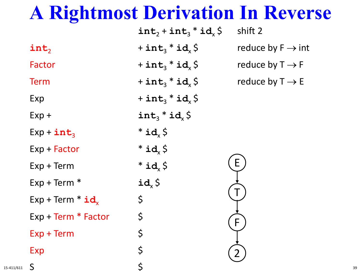| $\sim$ $\sim$ $\sim$ $\sim$ |                                           |                               |
|-----------------------------|-------------------------------------------|-------------------------------|
|                             | $int_2 + int_3 * id_x$ \$                 | shift 2                       |
| $\texttt{int}_2$            | + int <sub>3</sub> $*$ id <sub>x</sub> \$ | reduce by $F \rightarrow int$ |
| Factor                      | + $int_3$ * $id_x$ \$                     | reduce by $T \rightarrow F$   |
| <b>Term</b>                 | + $int_3$ * $id_x$ \$                     | reduce by $T \rightarrow E$   |
| Exp                         | + $int_3$ * $id_x$ \$                     |                               |
| $Exp +$                     | $int_3 * id_x S$                          |                               |
| $Exp + int_3$               | $*id_{x}$ \$                              |                               |
| Exp + Factor                | $*id_{x}$ \$                              |                               |
| $Exp + Term$                | $*id_{x}$ \$                              | E                             |
| $Exp + Term *$              | $id_x \, \zeta$                           |                               |
| $Exp + Term * id$           | $\varsigma$                               |                               |
| $Exp + Term * Factor$       | $\varsigma$                               | F                             |
| $Exp + Term$                | \$                                        |                               |
| Exp                         | \$                                        |                               |
| $\mathsf{S}$                | $\zeta$                                   |                               |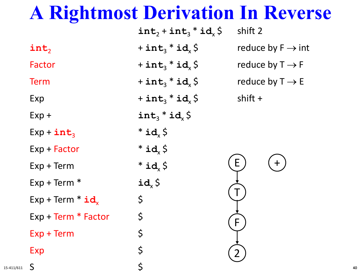|                     | $int_2 + int_3 * id_x \, \zeta$ | shift 2                       |
|---------------------|---------------------------------|-------------------------------|
| int,                | + $int_3$ * $id_x$ \$           | reduce by $F \rightarrow int$ |
| Factor              | + $int_3$ * $id_x$ \$           | reduce by $T \rightarrow F$   |
| <b>Term</b>         | + $int_3$ * $id_x$ \$           | reduce by $T \rightarrow E$   |
| Exp                 | + $int_3$ * $id_x$ \$           | shift +                       |
| $Exp +$             | $int_3 * id_x$ \$               |                               |
| $Exp + int_3$       | $*id_{x}$ \$                    |                               |
| Exp + Factor        | $*id_{x}$ \$                    |                               |
| $Exp + Term$        | $*id_{x}$ \$                    | E                             |
| $Exp + Term *$      | $id_x \, \zeta$                 |                               |
| $Exp + Term * id$   | \$                              |                               |
| Exp + Term * Factor | \$                              | F.                            |
| $Exp + Term$        | \$                              |                               |
| Exp                 | \$                              |                               |
| $\mathsf{S}$        | $\zeta$                         |                               |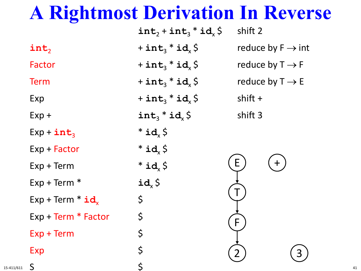|                                | $int_2 + int_3 * id_1 \$                    | shift 2                       |
|--------------------------------|---------------------------------------------|-------------------------------|
| int,                           | + int <sub>3</sub> $*$ id <sub>x</sub> \$   | reduce by $F \rightarrow int$ |
| Factor                         | $+$ int <sub>3</sub> $*$ id <sub>x</sub> \$ | reduce by $T \rightarrow F$   |
| <b>Term</b>                    | + $int_3$ * $id_x$ \$                       | reduce by $T \rightarrow E$   |
| Exp                            | + int <sub>3</sub> $*$ id <sub>x</sub> \$   | shift $+$                     |
| $Exp +$                        | $int_3 * id_x$ \$                           | shift 3                       |
| $Exp + int_3$                  | $*id_{x}$ \$                                |                               |
| $Exp + Factor$                 | $*id_{x}$ \$                                |                               |
| $Exp + Term$                   | $*id_{x}$ \$                                | E.                            |
| $Exp + Term *$                 | $id_x \, \zeta$                             |                               |
| $Exp + Term * id$ <sub>x</sub> | $\varsigma$                                 |                               |
| Exp + Term * Factor            | $\varsigma$                                 | F                             |
| $Exp + Term$                   | \$                                          |                               |
| Exp                            | \$                                          |                               |
| $\mathsf{S}$                   | $\mathsf{S}$                                |                               |

15-411/611  $\Box$  41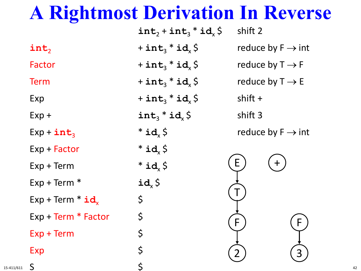|                     | $int_2 + int_3 * id_1 \$                  | shift 2                       |
|---------------------|-------------------------------------------|-------------------------------|
| int,                | + int <sub>3</sub> $*$ id <sub>x</sub> \$ | reduce by $F \rightarrow int$ |
| Factor              | + int <sub>3</sub> $*$ id <sub>x</sub> \$ | reduce by $T \rightarrow F$   |
| <b>Term</b>         | + $int_3$ * $id_x$ \$                     | reduce by $T \rightarrow E$   |
| Exp                 | + $int_3$ * $id_x$ \$                     | shift $+$                     |
| $Exp +$             | $int_3 * id_x$ \$                         | shift 3                       |
| $Exp + int_3$       | $*id_{x}$ \$                              | reduce by $F \rightarrow int$ |
| Exp + Factor        | $*id_{x}$ \$                              |                               |
| $Exp + Term$        | $*id_{x}$ \$                              | E                             |
| $Exp + Term *$      | $id_{x}$ \$                               |                               |
| $Exp + Term * id$   | \$                                        |                               |
| Exp + Term * Factor | \$                                        | F.                            |
| $Exp + Term$        | \$                                        |                               |
| Exp                 | \$                                        |                               |
| $\mathsf{S}$        | $\zeta$                                   |                               |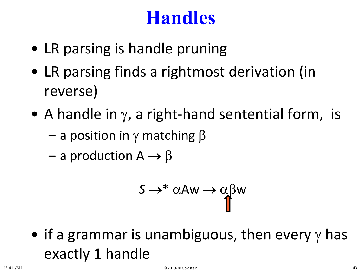#### **Handles**

- LR parsing is handle pruning
- LR parsing finds a rightmost derivation (in reverse)
- A handle in  $\gamma$ , a right-hand sentential form, is
	- $-$  a position in γ matching β
	- a production  $A \rightarrow \beta$

$$
S \rightarrow^* \alpha A w \rightarrow \alpha \beta w
$$

• if a grammar is unambiguous, then every  $\gamma$  has exactly 1 handle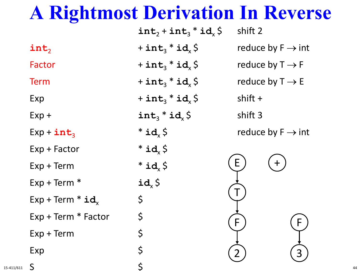|                                | $int_2 + int_3 * id_1 \$ | shift 2   |                               |
|--------------------------------|--------------------------|-----------|-------------------------------|
| int,                           | + $int_3$ * $id_x$ \$    |           | reduce by $F \rightarrow int$ |
| Factor                         | + $int_3$ * $id_x$ \$    |           | reduce by $T \rightarrow F$   |
| <b>Term</b>                    | + $int_3$ * $id_x$ \$    |           | reduce by $T \rightarrow E$   |
| Exp                            | + $int_3$ * $id_x$ \$    | shift $+$ |                               |
| $Exp +$                        | $int_3 * id_x$ \$        | shift 3   |                               |
| $Exp + int_3$                  | $*id_{x}$ \$             |           | reduce by $F \rightarrow int$ |
| Exp + Factor                   | $*id_{x}$ \$             |           |                               |
| $Exp + Term$                   | $*id_{x}$ \$             | E.        |                               |
| $Exp + Term *$                 | $id_x \, \zeta$          |           |                               |
| $Exp + Term * id$ <sub>x</sub> | \$                       |           |                               |
| Exp + Term * Factor            | \$                       | F.        |                               |
| $Exp + Term$                   | \$                       |           |                               |
| Exp                            | \$                       |           |                               |
| $\mathsf{S}$                   | $\zeta$                  |           |                               |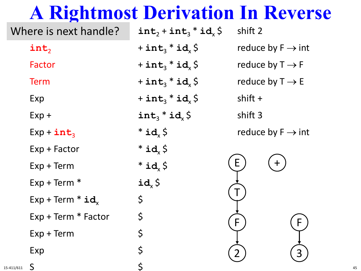| Where is next handle? | $int_2 + int_3 * id_x$ \$                   | shift 2                       |
|-----------------------|---------------------------------------------|-------------------------------|
| $int_2$               | $+$ int <sub>3</sub> $*$ id <sub>x</sub> \$ | reduce by $F \rightarrow int$ |
| Factor                | + int <sub>3</sub> $*$ id <sub>x</sub> \$   | reduce by $T \rightarrow F$   |
| <b>Term</b>           | + $int_3$ * $id_x$ \$                       | reduce by $T \rightarrow E$   |
| Exp                   | + int <sub>3</sub> $*$ id <sub>x</sub> \$   | shift $+$                     |
| $Exp +$               | $int_3 * id_2$ \$                           | shift 3                       |
| $Exp + int_3$         | $*id_{x}$ \$                                | reduce by $F \rightarrow int$ |
| Exp + Factor          | $*id_{x}$ \$                                |                               |
| $Exp + Term$          | $*id_{x}$ \$                                | E.<br>$+$                     |
| $Exp + Term *$        | $id_x \, \zeta$                             |                               |
| $Exp + Term * id_x$   | $\varsigma$                                 |                               |
| Exp + Term * Factor   | \$                                          | F.<br>F.                      |
| $Exp + Term$          | \$                                          |                               |
| Exp                   | \$                                          |                               |
| S<br>411/611          | \$                                          |                               |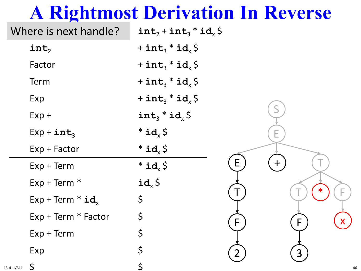|            | Where is next handle?          | $int_2 + int_3 * id_x \, \zeta$           |              |     |   |    |
|------------|--------------------------------|-------------------------------------------|--------------|-----|---|----|
|            | $int_2$                        | + $int_3$ * $id_x$ \$                     |              |     |   |    |
|            | Factor                         | + $int_3$ * $id_x$ \$                     |              |     |   |    |
|            | Term                           | + int <sub>3</sub> $*$ id <sub>x</sub> \$ |              |     |   |    |
|            | Exp                            | + $int_3$ * $id_x$ \$                     |              |     |   |    |
|            | $Exp +$                        | $int_3 * id_x S$                          |              | S   |   |    |
|            | $Exp + int_3$                  | $*id_{x}$ \$                              |              | Е   |   |    |
|            | Exp + Factor                   | $*id_{x}$ \$                              |              |     |   |    |
|            | $Exp + Term$                   | $*id_{x}$ \$                              | E            | $+$ |   |    |
|            | $Exp + Term *$                 | $id_x \, \zeta$                           |              |     |   |    |
|            | $Exp + Term * id$ <sub>x</sub> | $\varsigma$                               |              |     |   |    |
|            | Exp + Term * Factor            | $\varsigma$                               | $\mathsf{F}$ |     | F |    |
|            | $Exp + Term$                   | \$                                        |              |     |   |    |
|            | Exp                            | \$                                        |              |     | 3 |    |
| 15-411/611 | S                              |                                           |              |     |   | 46 |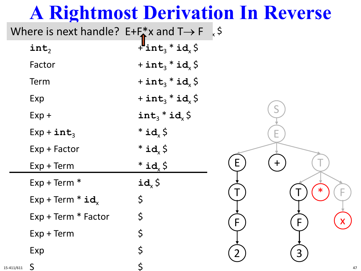|            | Where is next handle? $E+F^*$ x and $T \rightarrow F$ , \$ |                                           |          |
|------------|------------------------------------------------------------|-------------------------------------------|----------|
|            | $int_2$                                                    | $+\ln t_3 * id_x \,$ \$                   |          |
|            | Factor                                                     | + $int_3$ * $id_x$ \$                     |          |
|            | Term                                                       | + $int_3$ * $id_x$ \$                     |          |
|            | Exp                                                        | + int <sub>3</sub> $*$ id <sub>x</sub> \$ |          |
|            | $Exp +$                                                    | int <sub>3</sub> * id <sub>x</sub> \$     |          |
|            | $Exp + int_3$                                              | $*id_{x}$ \$                              | Е        |
|            | Exp + Factor                                               | $*id_{x}$ \$                              |          |
|            | $Exp + Term$                                               | $*id_{x}$ \$                              | E<br>$+$ |
|            | $Exp + Term *$                                             | $id_x \, \zeta$                           |          |
|            | $Exp + Term * id_x$                                        | \$                                        |          |
|            | Exp + Term * Factor                                        | $\varsigma$                               | F.<br>F  |
|            | $Exp + Term$                                               | \$                                        |          |
|            | Exp                                                        | \$                                        |          |
| 15-411/611 | S                                                          |                                           | 47       |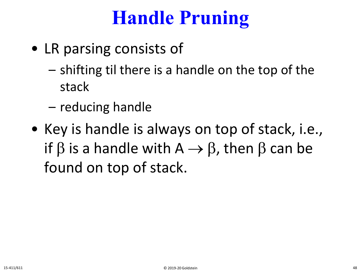### **Handle Pruning**

- LR parsing consists of
	- shifting til there is a handle on the top of the stack
	- reducing handle
- Key is handle is always on top of stack, i.e., if  $\beta$  is a handle with A  $\rightarrow \beta$ , then  $\beta$  can be found on top of stack.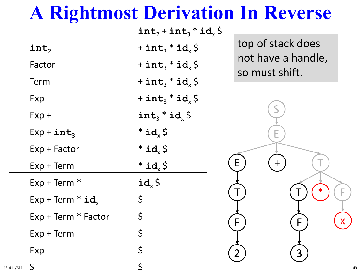|                     | $int_2 + int_3 * id_x$ \$                 |                                     |
|---------------------|-------------------------------------------|-------------------------------------|
| $int_2$             | + int <sub>3</sub> $*$ id <sub>x</sub> \$ | top of stack does                   |
| Factor              | + int <sub>3</sub> $*$ id <sub>x</sub> \$ | not have a handle<br>so must shift. |
| Term                | + $int_3$ * $id_x$ \$                     |                                     |
| Exp                 | + int <sub>3</sub> $*$ id <sub>x</sub> \$ |                                     |
| $Exp +$             | $int_3 * id_2$ \$                         |                                     |
| $Exp + int_3$       | $*id_{x}$ \$                              |                                     |
| $Exp + Factor$      | $*id_{x}$ \$                              |                                     |
| $Exp + Term$        | $*id_x \zeta$                             | E<br>$\mathbf +$                    |
| $Exp + Term *$      | $id_x \, \zeta$                           |                                     |
| $Exp + Term * id_x$ | \$                                        |                                     |
| Exp + Term * Factor | \$                                        | F<br>F                              |
| $Exp + Term$        | \$                                        |                                     |
| Exp                 | \$                                        |                                     |
| $\mathsf{S}$        |                                           |                                     |

top of stack does not have a handle, so must shift.

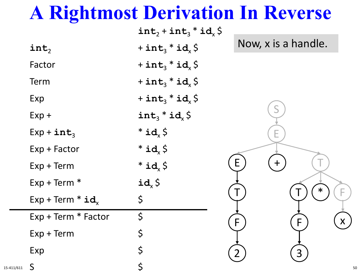|                                | $int_2 + int_3 * id_x \, \zeta$         |                     |
|--------------------------------|-----------------------------------------|---------------------|
| $\texttt{int}_2$               | + $int_3$ * $id_x$ \$                   | Now, x is a handle. |
| Factor                         | + $int_3$ * $id_x$ \$                   |                     |
| Term                           | + $int_3$ * $id_x$ \$                   |                     |
| Exp                            | + int <sub>3</sub> * id <sub>x</sub> \$ |                     |
| $Exp +$                        | $int_3 * id_x S$                        |                     |
| $Exp + int_3$                  | $*id_{x}$ \$                            |                     |
| Exp + Factor                   | $*id_{x}$ \$                            |                     |
| $Exp + Term$                   | $*id_{x}$ \$                            | E<br>╋              |
| $Exp + Term *$                 | $id_x \, \zeta$                         |                     |
| $Exp + Term * id$ <sub>x</sub> | \$                                      |                     |
| Exp + Term * Factor            | $\varsigma$                             | X<br>F<br>F         |
| $Exp + Term$                   | \$                                      |                     |
| Exp                            | \$                                      | 3                   |
| 1 S                            | $\zeta$                                 |                     |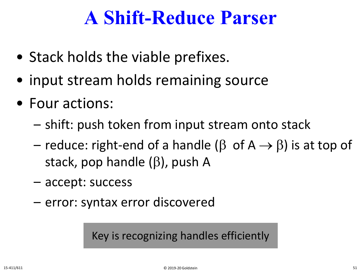### **A Shift-Reduce Parser**

- Stack holds the viable prefixes.
- input stream holds remaining source
- Four actions:
	- shift: push token from input stream onto stack
	- reduce: right-end of a handle ( $\beta$  of A  $\rightarrow$   $\beta$ ) is at top of stack, pop handle (β), push A
	- accept: success
	- error: syntax error discovered

Key is recognizing handles efficiently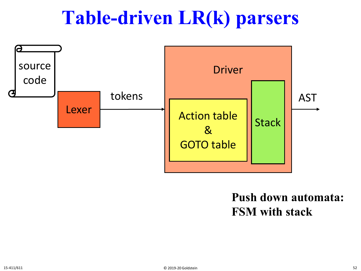### **Table-driven LR(k) parsers**



#### **Push down automata: FSM with stack**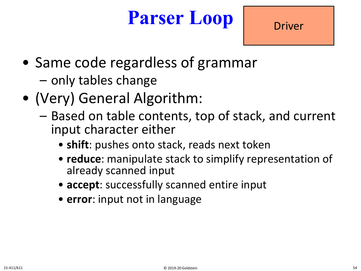### **Parser Loop**

- Same code regardless of grammar
	- only tables change
- (Very) General Algorithm:
	- Based on table contents, top of stack, and current input character either
		- **shift**: pushes onto stack, reads next token
		- **reduce**: manipulate stack to simplify representation of already scanned input
		- **accept**: successfully scanned entire input
		- **error**: input not in language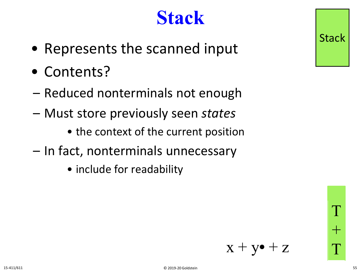### **Stack**

- Represents the scanned input
- Contents?
- Reduced nonterminals not enough
- Must store previously seen *states*
	- the context of the current position
- In fact, nonterminals unnecessary
	- include for readability



T

 $+$ 

T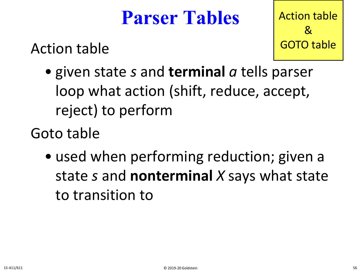#### **Parser Tables**

Action table

Action table & GOTO table

• given state *s* and **terminal** *a* tells parser loop what action (shift, reduce, accept, reject) to perform

Goto table

• used when performing reduction; given a state *s* and **nonterminal** *X* says what state to transition to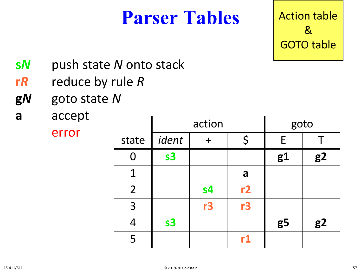#### **Parser Tables** Action table

& GOTO table

- **s***N* push state *N* onto stack
- **r***R* reduce by rule *R*
- **g***N* goto state *N*
- **a** accept

error

|                | action         |                |    | goto           |                |
|----------------|----------------|----------------|----|----------------|----------------|
| state          | ident          | $\ddag$        | \$ | E              |                |
| 0              | s <sub>3</sub> |                |    | g1             | g <sub>2</sub> |
| 1              |                |                | a  |                |                |
| $\overline{2}$ |                | s <sub>4</sub> | r2 |                |                |
| $\overline{3}$ |                | r3             | r3 |                |                |
| $\overline{4}$ | s <sub>3</sub> |                |    | g <sub>5</sub> | g2             |
| 5              |                |                | r1 |                |                |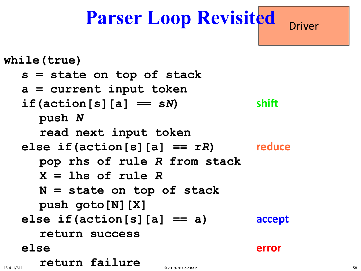### **Parser Loop Revisited** Driver

```
while(true)
s = state on top of stack
a = current input token
if (action[s][a] == sN) shift
  push N
  read next input token
else if(action[s][a] == rR) reduce
  pop rhs of rule R from stack
  X = lhs of rule R
  N = state on top of stack
  push goto[N][X]
else if(action[s][a] == a) accept 
  return success
else error
  return failure
```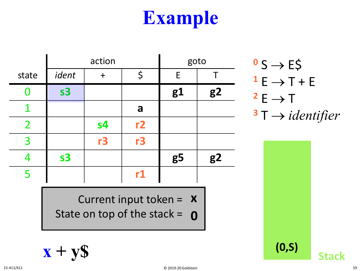|               |                | action         |                         |                | goto           | $\sim$ S $\rightarrow$ E\$  |
|---------------|----------------|----------------|-------------------------|----------------|----------------|-----------------------------|
| state         | ident          | $+$            | \$                      | E              |                | $1 E \rightarrow T + E$     |
|               | s <sub>3</sub> |                |                         | g1             | g <sub>2</sub> | $2E \rightarrow T$          |
|               |                |                | a                       |                |                | $3T \rightarrow identifier$ |
| $\mathcal{P}$ |                | s <sub>4</sub> | r2                      |                |                |                             |
| 3             |                | r3             | r3                      |                |                |                             |
|               | s <sub>3</sub> |                |                         | g <sub>5</sub> | g2             |                             |
|               |                |                | $\mathbf{r} \mathbf{1}$ |                |                |                             |

Current input token = **x** State on top of the stack = **0**

$$
x + yS \tag{0.5}
$$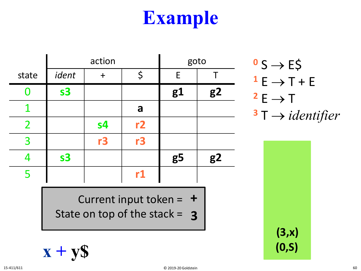|                | action         |                |           |                | goto           |
|----------------|----------------|----------------|-----------|----------------|----------------|
| state          | ident          | $\ddag$        | \$        | E              |                |
| O              | s <sub>3</sub> |                |           | g1             | g <sub>2</sub> |
| 1              |                |                | a         |                |                |
| $\overline{2}$ |                | s <sub>4</sub> | r2        |                |                |
| 3              |                | r3             | r3        |                |                |
| 4              | s <sub>3</sub> |                |           | g <sub>5</sub> | g <sub>2</sub> |
| 5              |                |                | <u>r1</u> |                |                |

Current input token = **+** State on top of the stack = **3**

$$
\mathbf{x} + \mathbf{y}\mathbf{S} \tag{0.5}
$$

$$
0 S \rightarrow E\$
$$
  
\n
$$
1 E \rightarrow T + E
$$
  
\n
$$
2 E \rightarrow T
$$
  
\n
$$
3 T \rightarrow identifier
$$

**(3,x)**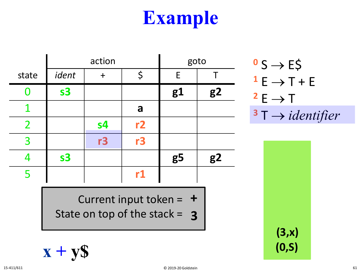|                | action         |                |             |                | goto           |
|----------------|----------------|----------------|-------------|----------------|----------------|
| state          | ident          | $\mathbf +$    | $\varsigma$ | E              |                |
| O              | s <sub>3</sub> |                |             | g1             | g <sub>2</sub> |
| 1              |                |                | a           |                |                |
| $\overline{2}$ |                | s <sub>4</sub> | r2          |                |                |
| 3              |                | r3             | r3          |                |                |
| 4              | s <sub>3</sub> |                |             | g <sub>5</sub> | g <sub>2</sub> |
| 5              |                |                | r1          |                |                |

Current input token = **+** State on top of the stack = **3**

$$
\mathbf{x} + \mathbf{y}\mathbf{S} \tag{0.5}
$$

$$
3 \rightarrow E5
$$
\n
$$
1 E \rightarrow T + E
$$
\n
$$
2 E \rightarrow T
$$
\n
$$
3 T \rightarrow identifier
$$

**<sup>0</sup>** S → E\$

**(3,x)**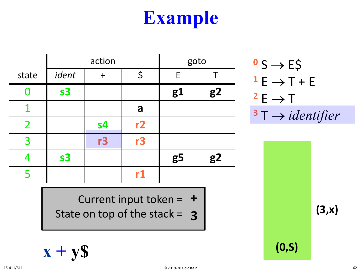|                | action         |         |    |                | goto           |
|----------------|----------------|---------|----|----------------|----------------|
| state          | ident          | $\ddag$ | \$ | E              |                |
| O              | s <sub>3</sub> |         |    | g1             | g <sub>2</sub> |
| 1              |                |         | a  |                |                |
| $\overline{2}$ |                | s4      | r2 |                |                |
| 3              |                | r3      | r3 |                |                |
| $\overline{4}$ | s <sub>3</sub> |         |    | g <sub>5</sub> | g <sub>2</sub> |
| 5              |                |         | r1 |                |                |

Current input token = **+** State on top of the stack =

$$
0 S \rightarrow E\$\n1 E \rightarrow T + E\n2 E \rightarrow T\n3 T \rightarrow identifier
$$

**(3,x)**

**x + y\$ (0,S)**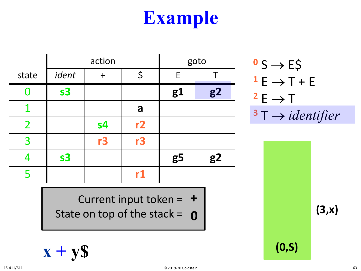|                | action         |                |    |                | goto           |
|----------------|----------------|----------------|----|----------------|----------------|
| state          | ident          | $\ddag$        | \$ | E              |                |
| 0              | s <sub>3</sub> |                |    | g1             | g <sub>2</sub> |
| 1              |                |                | a  |                |                |
| $\overline{2}$ |                | s <sub>4</sub> | r2 |                |                |
| 3              |                | r3             | r3 |                |                |
| 4              | s <sub>3</sub> |                |    | g <sub>5</sub> | g <sub>2</sub> |
| 5              |                |                | r1 |                |                |

Current input token = **+** State on top of the stack =  $\overline{0}$ 

$$
0 S \rightarrow E\$\n1 E \rightarrow T + E\n2 E \rightarrow T\n3 T \rightarrow identifier
$$

**(3,x)**

**x + y\$ (0,S)**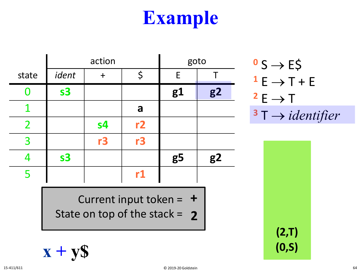|                | action         |                |             |                | goto           |
|----------------|----------------|----------------|-------------|----------------|----------------|
| state          | ident          | $\mathbf +$    | $\varsigma$ | E              |                |
| O              | s <sub>3</sub> |                |             | g1             | g <sub>2</sub> |
| 1              |                |                | a           |                |                |
| $\overline{2}$ |                | s <sub>4</sub> | r2          |                |                |
| 3              |                | r3             | r3          |                |                |
| 4              | s <sub>3</sub> |                |             | g <sub>5</sub> | g <sub>2</sub> |
| 5              |                |                | r1          |                |                |

Current input token = **+** State on top of the stack = **2**

$$
\mathbf{x} + \mathbf{y}\mathbf{S} \tag{0.5}
$$

$$
0 S \rightarrow E\$\n1 E \rightarrow T + E\n2 E \rightarrow T\n3 T \rightarrow identifier
$$

**(2,T)**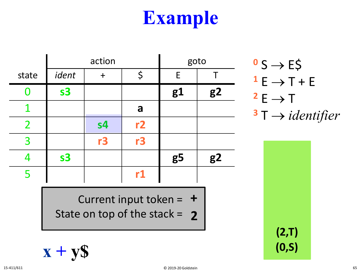|                | action         |                |    |                | goto           |
|----------------|----------------|----------------|----|----------------|----------------|
| state          | ident          |                | \$ | E              |                |
| O              | s <sub>3</sub> |                |    | g1             | g <sub>2</sub> |
|                |                |                | a  |                |                |
| $\overline{2}$ |                | s <sub>4</sub> | r2 |                |                |
| 3              |                | r3             | r3 |                |                |
|                | s <sub>3</sub> |                |    | g <sub>5</sub> | g <sub>2</sub> |
| 5              |                |                | r1 |                |                |

Current input token = **+** State on top of the stack = **2**

$$
\mathbf{x} + \mathbf{y}\mathbf{S} \tag{0.5}
$$

$$
0 S \rightarrow E\$
$$
  
\n
$$
1 E \rightarrow T + E
$$
  
\n
$$
2 E \rightarrow T
$$
  
\n
$$
3 T \rightarrow identityier
$$

**(2,T)**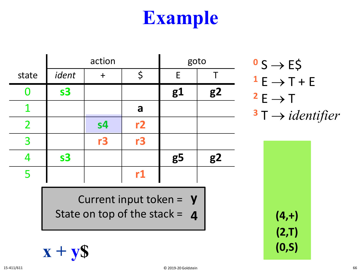|                | action         |                |                        |                | goto           |
|----------------|----------------|----------------|------------------------|----------------|----------------|
| state          | ident          | $\ddag$        | \$                     | E              |                |
| O              | s <sub>3</sub> |                |                        | g1             | g <sub>2</sub> |
|                |                |                | a                      |                |                |
| $\overline{2}$ |                | s <sub>4</sub> | r2                     |                |                |
| 3              |                | r3             | r3                     |                |                |
|                | s <sub>3</sub> |                |                        | g <sub>5</sub> | g <sub>2</sub> |
| 5              |                |                | $\mathsf{r}\mathbf{1}$ |                |                |

Current input token = **y** State on top of the stack =  $\boldsymbol{4}$ 

$$
\mathbf{x} + \mathbf{y}\mathbf{S} \tag{0.5}
$$

$$
0 S \rightarrow E\$\n1 E \rightarrow T + E\n2 E \rightarrow T\n3 T \rightarrow identifier
$$

**(2,T) (4,+)**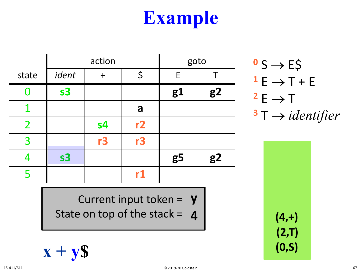|                | action         |                |    | goto           |                |
|----------------|----------------|----------------|----|----------------|----------------|
| state          | ident          | $\ddot{}$      | \$ | E              |                |
| O              | s <sub>3</sub> |                |    | g1             | g <sub>2</sub> |
|                |                |                | a  |                |                |
| $\overline{2}$ |                | s <sub>4</sub> | r2 |                |                |
| 3              |                | r3             | r3 |                |                |
| 4              | s <sub>3</sub> |                |    | g <sub>5</sub> | g <sub>2</sub> |
| 5              |                |                | r1 |                |                |

$$
0 S \rightarrow E\$\n1 E \rightarrow T + E\n2 E \rightarrow T\n3 T \rightarrow identityier
$$

**(2,T)**

**(4,+)**

Current input token = **y** State on top of the stack =  $\boldsymbol{4}$ 

$$
\mathbf{x} + \mathbf{y}\mathbf{\hat{s}}
$$
 (0, s)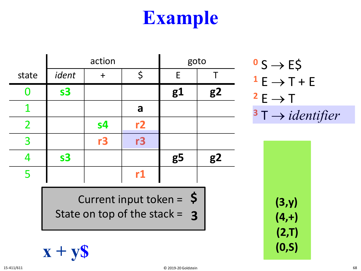|                | action         |                |    | goto           |                |
|----------------|----------------|----------------|----|----------------|----------------|
| state          | ident          | $\div$         | \$ | E              |                |
|                | s <sub>3</sub> |                |    | g1             | g <sub>2</sub> |
| 1              |                |                | a  |                |                |
| $\overline{2}$ |                | s <sub>4</sub> | r2 |                |                |
| 3              |                | r3             | r3 |                |                |
| 4              | s <sub>3</sub> |                |    | g <sub>5</sub> | g <sub>2</sub> |
| 5              |                |                | r1 |                |                |

Current input token = **\$** State on top of the stack = **3**

$$
\mathbf{x} + \mathbf{y}\mathbf{S} \tag{0.5}
$$

$$
0 S \rightarrow E\$\n1 E \rightarrow T + E\n2 E \rightarrow T\n3 T \rightarrow identifier
$$

**(2,T) (4,+) (3,y)**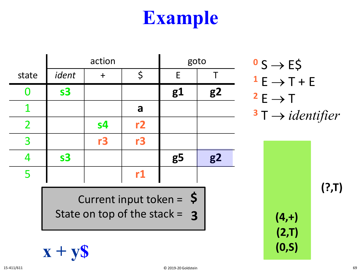|                | action         |                |    |                | goto           |
|----------------|----------------|----------------|----|----------------|----------------|
| state          | ident          | ┿              | \$ | E              |                |
| 0              | s <sub>3</sub> |                |    | g1             | g <sub>2</sub> |
|                |                |                | a  |                |                |
| $\overline{2}$ |                | s <sub>4</sub> | r2 |                |                |
| 3              |                | r3             | r3 |                |                |
| 4              | s <sub>3</sub> |                |    | g <sub>5</sub> | g <sub>2</sub> |
| 5              |                |                | r1 |                |                |

Current input token = **\$** State on top of the stack = **3**

$$
\mathbf{x} + \mathbf{y}\mathbf{S} \tag{0.5}
$$

$$
0 S \rightarrow E\$\n1 E \rightarrow T + E\n2 E \rightarrow T\n3 T \rightarrow identifier
$$

**(?,T)**

**(2,T) (4,+)**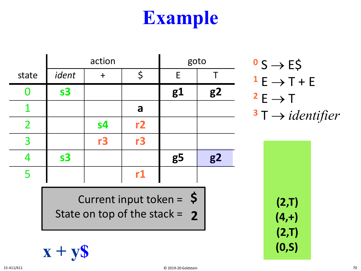|                | action         |                |    | goto           |                |
|----------------|----------------|----------------|----|----------------|----------------|
| state          | ident          | ┿              | \$ | E              |                |
| O              | s <sub>3</sub> |                |    | g1             | g <sub>2</sub> |
|                |                |                | a  |                |                |
| $\overline{2}$ |                | s <sub>4</sub> | r2 |                |                |
| 3              |                | r3             | r3 |                |                |
| 4              | s <sub>3</sub> |                |    | g <sub>5</sub> | g <sub>2</sub> |
| 5              |                |                | r1 |                |                |

$$
0 S \rightarrow E\$\n1 E \rightarrow T + E\n2 E \rightarrow T\n3 T \rightarrow identifier
$$

**(2,T) (4,+) (2,T)**

Current input token = **\$** State on top of the stack = **2**

$$
\mathbf{x} + \mathbf{y}\mathbf{S} \tag{0.5}
$$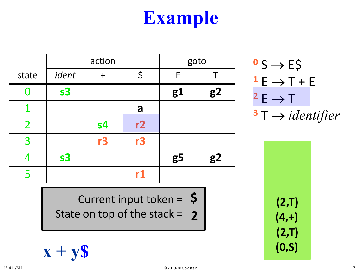|                | action         |                |    | goto           |                |
|----------------|----------------|----------------|----|----------------|----------------|
| state          | ident          | $\mathbf +$    | \$ | E              |                |
| O              | s <sub>3</sub> |                |    | g1             | g <sub>2</sub> |
| 1              |                |                | a  |                |                |
| $\overline{2}$ |                | s <sub>4</sub> | r2 |                |                |
| 3              |                | r3             | r3 |                |                |
| 4              | s <sub>3</sub> |                |    | g <sub>5</sub> | g <sub>2</sub> |
| 5              |                |                | r1 |                |                |

$$
0 S \rightarrow E\$\n1 E \rightarrow T + E\n2 E \rightarrow T\n3 T \rightarrow identifier
$$

**(2,T)**

**(4,+)**

**(2,T)**

Current input token = **\$** State on top of the stack = **2**

$$
\mathbf{x} + \mathbf{y}\mathbf{S} \tag{0.5}
$$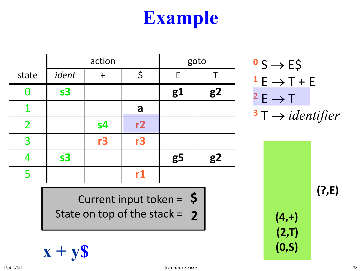**(2,T)**

**(4,+)**

|                | action         |                | goto |                | $0 S \rightarrow E \xi$ |                             |
|----------------|----------------|----------------|------|----------------|-------------------------|-----------------------------|
| state          | ident          | $\ddag$        | \$   | E              |                         | $1 E \rightarrow T + E$     |
| O              | s <sub>3</sub> |                |      | g1             | g <sub>2</sub>          | $2E \rightarrow T$          |
| 1              |                |                | a    |                |                         | $3T \rightarrow identifier$ |
| $\overline{2}$ |                | s <sub>4</sub> | r2   |                |                         |                             |
| 3              |                | r3             | r3   |                |                         |                             |
| 4              | s <sub>3</sub> |                |      | g <sub>5</sub> | g <sub>2</sub>          |                             |
| 5              |                |                | r1   |                |                         |                             |

$$
Current input token = 5
$$
\nState on top of the stack = 2

$$
\mathbf{x} + \mathbf{y}\mathbf{S} \tag{0.5}
$$

**(?,E)**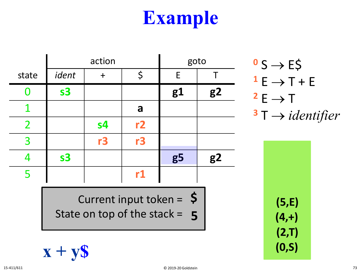|                | action         |                |    | goto           |    |
|----------------|----------------|----------------|----|----------------|----|
| state          | ident          | $+$            | \$ | E              |    |
| O              | s <sub>3</sub> |                |    | g1             | g2 |
|                |                |                | a  |                |    |
| $\overline{2}$ |                | s <sub>4</sub> | r2 |                |    |
| 3              |                | r3             | r3 |                |    |
| 4              | s <sub>3</sub> |                |    | g <sub>5</sub> | g2 |
| 5              |                |                | r1 |                |    |
|                |                |                |    |                |    |

$$
0 S \rightarrow E\$\n1 E \rightarrow T + E\n2 E \rightarrow T\n3 T \rightarrow identifier
$$

**(2,T) (4,+) (5,E)**

Current input token = **\$** State on top of the stack = **5**

$$
\mathbf{x} + \mathbf{y}\mathbf{S} \tag{0.5}
$$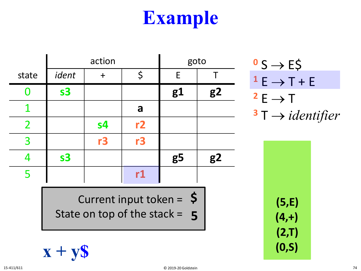|                | action         |                |    | goto           |                |
|----------------|----------------|----------------|----|----------------|----------------|
| state          | ident          | $\ddag$        | \$ | E              |                |
| O              | s <sub>3</sub> |                |    | g1             | g <sub>2</sub> |
|                |                |                | a  |                |                |
| $\overline{2}$ |                | s <sub>4</sub> | r2 |                |                |
| 3              |                | r3             | r3 |                |                |
|                | s <sub>3</sub> |                |    | g <sub>5</sub> | g <sub>2</sub> |
| 5              |                |                | r1 |                |                |
|                |                |                |    |                |                |

Current input token = **\$** State on top of the stack = **5**

$$
\mathbf{x} + \mathbf{y}\mathbf{S} \tag{0.5}
$$

$$
0 S \rightarrow E\zeta
$$
  
\n
$$
1 E \rightarrow T + E
$$
  
\n
$$
2 E \rightarrow T
$$
  
\n
$$
3 T \rightarrow identifier
$$

**(2,T) (4,+) (5,E)**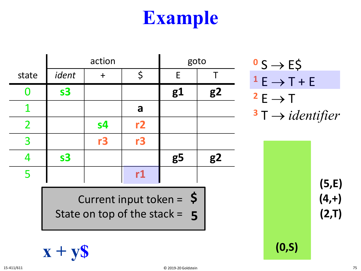|                | action         |                |    | goto           |                |
|----------------|----------------|----------------|----|----------------|----------------|
| state          | ident          |                | \$ | E              |                |
| $\bf{0}$       | s <sub>3</sub> |                |    | g1             | g2             |
|                |                |                | a  |                |                |
| $\overline{2}$ |                | s <sub>4</sub> | r2 |                |                |
| 3              |                | r3             | r3 |                |                |
| 4              | s <sub>3</sub> |                |    | g <sub>5</sub> | g <sub>2</sub> |
| 5              |                |                | r1 |                |                |
|                |                |                |    |                |                |

Current input token = **\$** State on top of the stack =  $5$ 

$$
\mathbf{x} + \mathbf{y}\mathbf{S} \tag{0.5}
$$

$$
0 S \rightarrow E\$\n1 E \rightarrow T + E\n2 E \rightarrow T\n3 T \rightarrow identifier
$$

**5 (2,T) (4,+) (5,E)**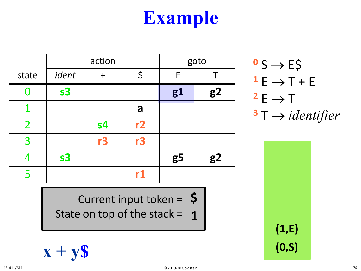|                | action         |                |    | goto           |                |
|----------------|----------------|----------------|----|----------------|----------------|
| state          | ident          | $\ddagger$     | \$ | E              |                |
| O              | s <sub>3</sub> |                |    | g1             | g <sub>2</sub> |
|                |                |                | a  |                |                |
| $\overline{2}$ |                | s <sub>4</sub> | r2 |                |                |
| 3              |                | r3             | r3 |                |                |
| 4              | s <sub>3</sub> |                |    | g <sub>5</sub> | g <sub>2</sub> |
| 5              |                |                | r1 |                |                |

Current input token = **\$**

State on top of the stack =

$$
0 S \rightarrow E\$\n1 E \rightarrow T + E\n2 E \rightarrow T\n3 T \rightarrow identifier
$$

**(1,E)**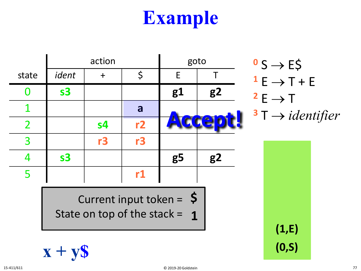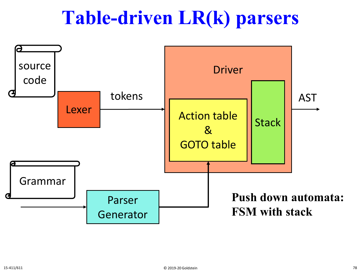#### **Table-driven LR(k) parsers**

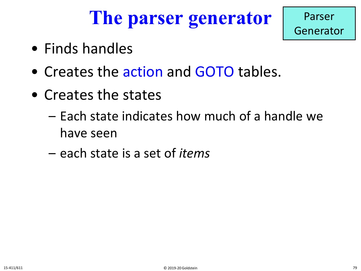## **The parser generator**



- Finds handles
- Creates the action and GOTO tables.
- Creates the states
	- Each state indicates how much of a handle we have seen
	- each state is a set of *items*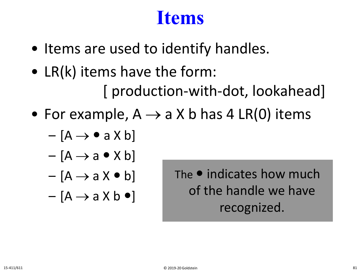#### **Items**

- Items are used to identify handles.
- LR(k) items have the form: [ production-with-dot, lookahead]
- For example,  $A \rightarrow a X b$  has 4 LR(0) items
	- $-[A \rightarrow \bullet a X b]$
	- $[A \rightarrow a \bullet X b]$
	- $[A \rightarrow a X \bullet b]$
	- $-[A \rightarrow a X b \bullet]$

The  $\bullet$  indicates how much of the handle we have recognized.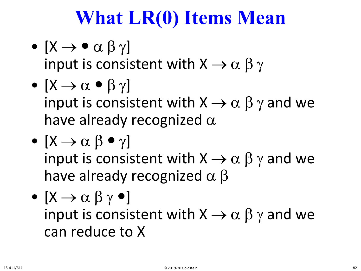# **What LR(0) Items Mean**

- $[X \rightarrow \bullet \alpha \beta \gamma]$ input is consistent with  $X \rightarrow \alpha \beta \gamma$
- $[X \rightarrow \alpha \bullet \beta \gamma]$ input is consistent with  $X \rightarrow \alpha \beta \gamma$  and we have already recognized  $\alpha$
- $[X \rightarrow \alpha \beta \bullet \gamma]$ input is consistent with  $X \rightarrow \alpha \beta \gamma$  and we have already recognized  $\alpha \beta$
- $\bullet \; [X \rightarrow \alpha \; \beta \; \gamma \; \bullet]$ input is consistent with  $X \rightarrow \alpha \beta \gamma$  and we can reduce to X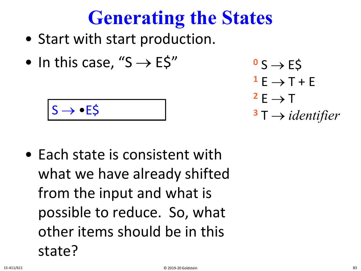# **Generating the States**

- Start with start production.
- In this case, " $S \rightarrow E \xi$ "

$$
S\rightarrow \bullet E\varsigma
$$

- Each state is consistent with what we have already shifted from the input and what is possible to reduce. So, what other items should be in this state?
- $\sim$  S  $\rightarrow$  E\$  $1 E \rightarrow T + E$  $2E \rightarrow T$  $3\text{ T} \rightarrow$  *identifier*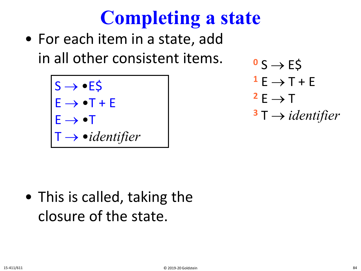# **Completing a state**

• For each item in a state, add in all other consistent items.

> $S \rightarrow \bullet E \s$  $E \rightarrow \bullet T + E$  $E \rightarrow \bullet T$ T → •*identifier*

 $\sim$  S  $\rightarrow$  E\$  $1 E \rightarrow T + E$  $2E \rightarrow T$ **<sup>3</sup>** T → *identifier*

• This is called, taking the closure of the state.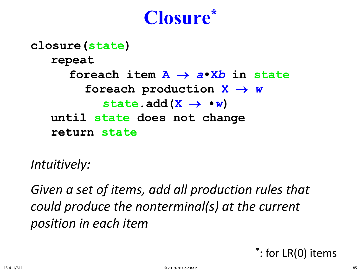#### **Closure\***

#### **closure(state) repeat foreach item A** → *a***•X***b* **in state foreach production X** → *w* state.add $(X \rightarrow \bullet w)$ **until state does not change return state**

*Intuitively:*

*Given a set of items, add all production rules that could produce the nonterminal(s) at the current position in each item*

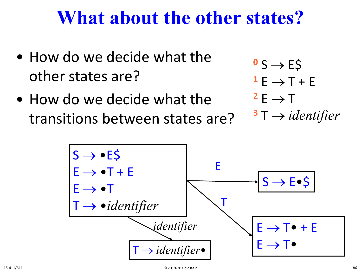#### **What about the other states?**

- How do we decide what the other states are?
- How do we decide what the transitions between states are?

 $\sim$  S  $\rightarrow$  ES  $1 E \rightarrow T + E$  $2E \rightarrow T$  $3\,\mathrm{T} \rightarrow$  *identifier* 

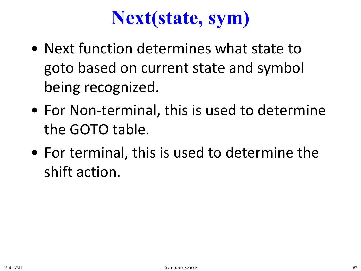## **Next(state, sym)**

- Next function determines what state to goto based on current state and symbol being recognized.
- For Non-terminal, this is used to determine the GOTO table.
- For terminal, this is used to determine the shift action.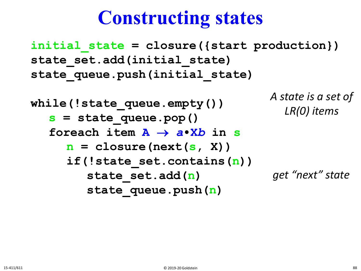#### **Constructing states**

**initial\_state = closure({start production}) state\_set.add(initial\_state) state\_queue.push(initial\_state)**

```
while(!state_queue.empty()) 
s = state_queue.pop()
foreach item A → a•Xb in s
   n = closure(next(s, X))
   if(!state_set.contains(n))
      state set.add(n)
      state queue.push(n)
                                   A state is a set of 
                                      LR(0) items
                                    get "next" state
```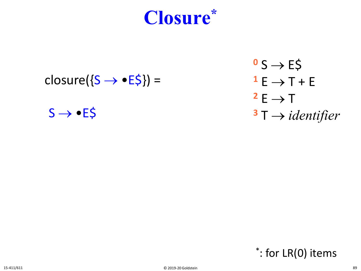

- closure( $\{S \rightarrow \bullet E \$ ) =
	- $S \rightarrow \bullet E5$

 $\sim$  S  $\rightarrow$  E\$  $1 E \rightarrow T + E$  $2E \rightarrow T$ **<sup>3</sup>** T → *identifier*

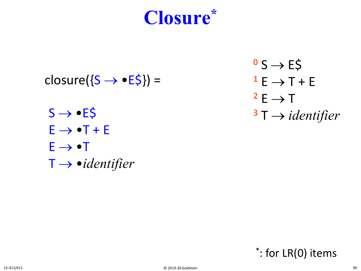

- closure( $\{S \rightarrow \bullet E\$ ) =
	- $S \rightarrow \bullet E5$  $E \rightarrow \bullet T + E$  $E \rightarrow \bullet T$ T → •*identifier*

 $0 S \rightarrow ES$  $1 E \rightarrow T + E$  $2E \rightarrow T$ **<sup>3</sup>** T → *identifier*

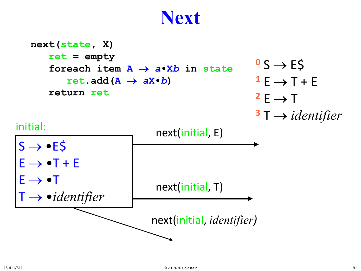#### **Next**

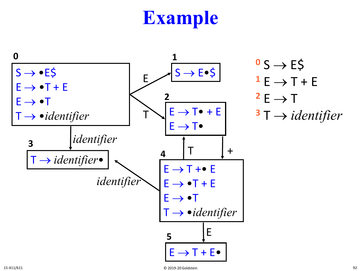

$$
0 S \rightarrow E\$\n1 E \rightarrow T + E\n2 E \rightarrow T\n3 T \rightarrow identityier
$$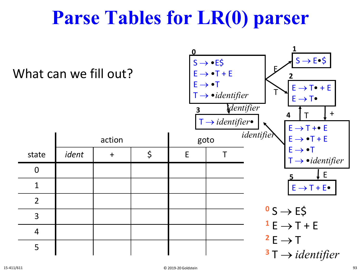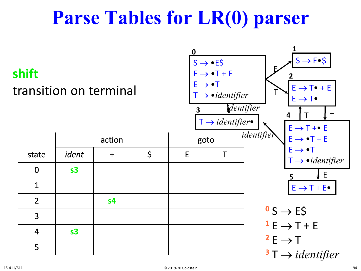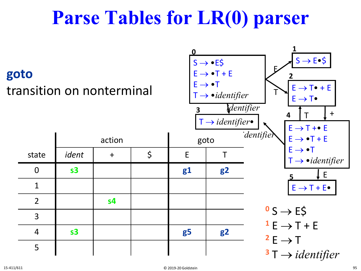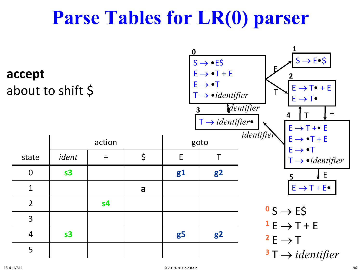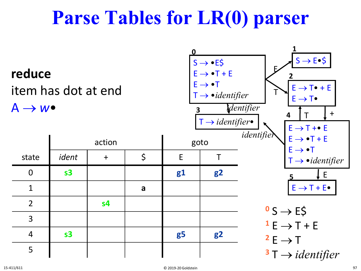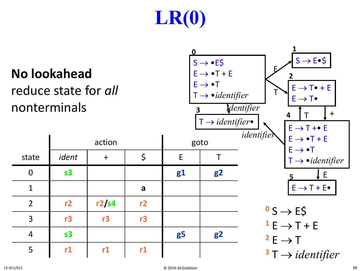# **LR(0)**

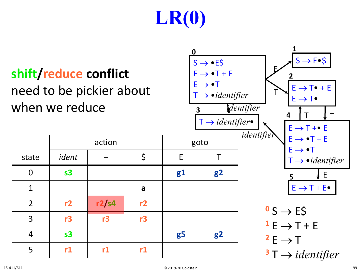# **LR(0)**

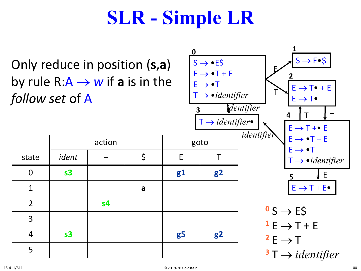## **SLR - Simple LR**

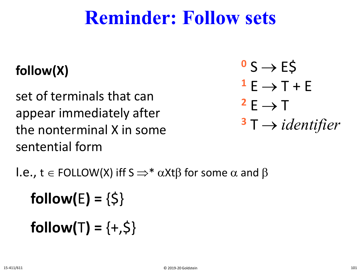#### **Reminder: Follow sets**

#### **follow(X)**

set of terminals that can appear immediately after the nonterminal X in some sentential form

$$
0 S \rightarrow E\zeta
$$
  
\n
$$
1 E \rightarrow T + E
$$
  
\n
$$
2 E \rightarrow T
$$
  
\n
$$
3 T \rightarrow identifier
$$

l.e., t ∈ FOLLOW(X) iff S  $\Rightarrow^* \alpha$ Xtβ for some  $\alpha$  and β

**follow(E)** =  $\{5\}$ **follow(T)** =  $\{+, \zeta\}$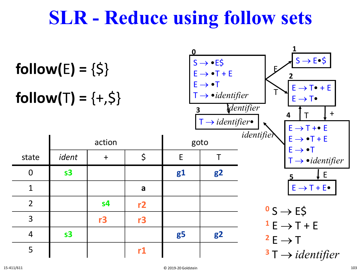#### **SLR - Reduce using follow sets**

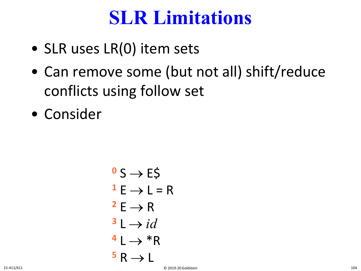#### **SLR Limitations**

- SLR uses LR(0) item sets
- Can remove some (but not all) shift/reduce conflicts using follow set
- Consider

$$
0 S \rightarrow E\zeta
$$
  
\n
$$
1 E \rightarrow L = R
$$
  
\n
$$
2 E \rightarrow R
$$
  
\n
$$
3 L \rightarrow id
$$
  
\n
$$
4 L \rightarrow *R
$$
  
\n
$$
5 R \rightarrow L
$$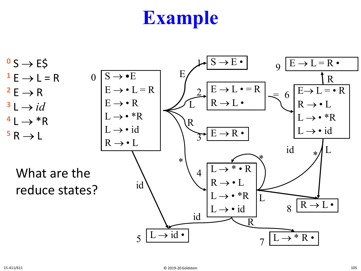$\sim$  S  $\rightarrow$  E\$  $1 E \rightarrow L = R$  $2E \rightarrow R$  $3 \perp \rightarrow id$  $4 L \rightarrow *R$  $\overline{5}$  R  $\rightarrow$  L

> What are the reduce states?

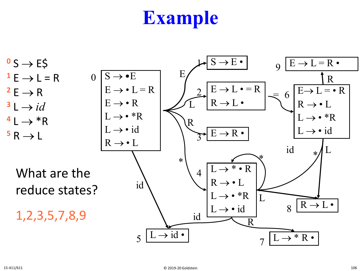$\sim$  S  $\rightarrow$  E\$  $1 E \rightarrow L = R$  $2E \rightarrow R$  $3 \perp \rightarrow id$  $4 L \rightarrow *R$  $5R \rightarrow L$ 

> What are the reduce states?

1,2,3,5,7,8,9

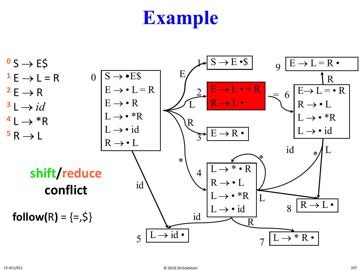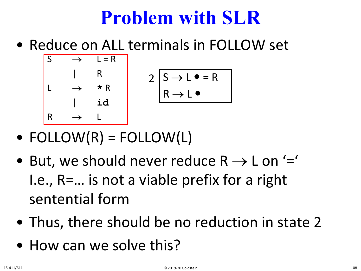## **Problem with SLR**

• Reduce on ALL terminals in FOLLOW set



- $FOLLOW(R) = FOLLOW(L)$
- But, we should never reduce  $R \rightarrow L$  on '=' I.e., R=… is not a viable prefix for a right sentential form
- Thus, there should be no reduction in state 2
- How can we solve this?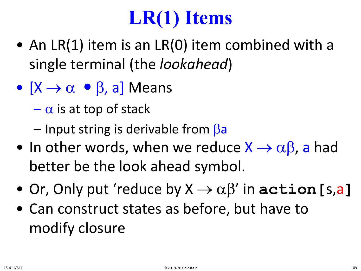# **LR(1) Items**

- An LR(1) item is an LR(0) item combined with a single terminal (the *lookahead*)
- $[X \rightarrow \alpha \bullet \beta, a]$  Means
	- $-\alpha$  is at top of stack
	- $-$  Input string is derivable from  $\beta$ a
- In other words, when we reduce  $X \rightarrow \alpha \beta$ , a had better be the look ahead symbol.
- Or, Only put 'reduce by  $X \rightarrow \alpha \beta'$  in **action** [s,a]
- Can construct states as before, but have to modify closure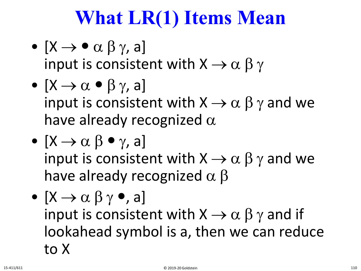# **What LR(1) Items Mean**

- $[X \rightarrow \bullet \alpha \beta \gamma, a]$ input is consistent with  $X \rightarrow \alpha \beta \gamma$
- $[X \rightarrow \alpha \bullet \beta \gamma, a]$ input is consistent with  $X \rightarrow \alpha \beta \gamma$  and we have already recognized  $\alpha$
- $[X \rightarrow \alpha \beta \bullet \gamma, a]$ input is consistent with  $X \rightarrow \alpha \beta \gamma$  and we have already recognized  $\alpha$   $\beta$
- $[X \rightarrow \alpha \beta \gamma$  , a input is consistent with  $X \rightarrow \alpha \beta \gamma$  and if lookahead symbol is a, then we can reduce to X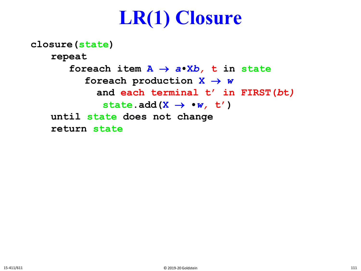## **LR(1) Closure**

**closure(state) repeat foreach item A** → *a***•X***b,* **t in state foreach production X** → *w*  **and each terminal t' in FIRST(***b***t***)* state.add( $X \rightarrow \bullet w$ , t') **until state does not change return state**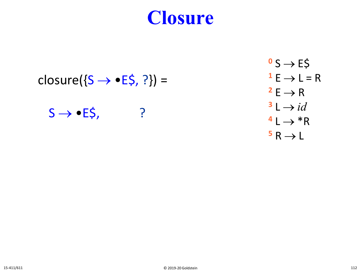#### $closure({S \rightarrow eE\$ , ?}) =

 $S \rightarrow \bullet E\$ , ?

$$
0 S \rightarrow E\zeta
$$
  
\n
$$
1 E \rightarrow L = R
$$
  
\n
$$
2 E \rightarrow R
$$
  
\n
$$
3 L \rightarrow id
$$
  
\n
$$
4 L \rightarrow *R
$$
  
\n
$$
5 R \rightarrow L
$$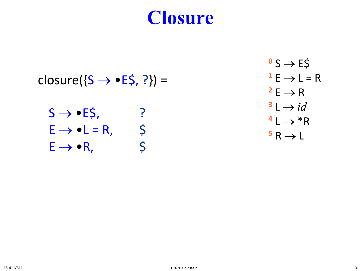- closure( $\{S \rightarrow \bullet E\$ , ?}) =
	- $S \rightarrow \bullet E\$ , ?  $E \rightarrow \bullet L = R$ , \$  $E \rightarrow \bullet R,$  \$

 $0 S \rightarrow E5$  $1 E \rightarrow L = R$  $2E \rightarrow R$  $1\rightarrow id$  $4 L \rightarrow *R$  $5R \rightarrow L$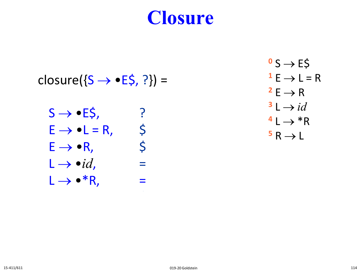closure( $\{S \rightarrow \bullet E\$ , ?}) =

$$
S \rightarrow \bullet E\zeta, \qquad ?
$$
  
\n
$$
E \rightarrow \bullet L = R, \qquad \zeta
$$
  
\n
$$
E \rightarrow \bullet R, \qquad \zeta
$$
  
\n
$$
L \rightarrow \bullet id, \qquad =
$$
  
\n
$$
L \rightarrow \bullet * R, \qquad =
$$

 $0S \rightarrow E\overline{S}$  $1 E \rightarrow L = R$  $2E \rightarrow R$  $1\rightarrow id$  $4 L \rightarrow *R$  $5R \rightarrow L$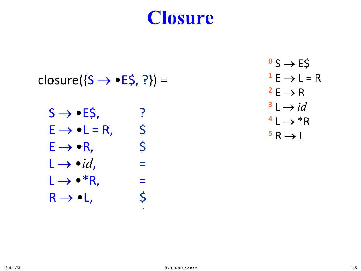closure( $\{S \rightarrow \bullet E\$ , ?}) =

$$
S \rightarrow \bullet E\zeta, \qquad ?
$$
  
\n
$$
E \rightarrow \bullet L = R, \qquad \zeta
$$
  
\n
$$
E \rightarrow \bullet R, \qquad \zeta
$$
  
\n
$$
L \rightarrow \bullet id, \qquad =
$$
  
\n
$$
L \rightarrow \bullet * R, \qquad =
$$
  
\n
$$
R \rightarrow \bullet L, \qquad \zeta
$$

L → •*id*, \$

 $\sim$  S  $\rightarrow$  E\$  $1 E \rightarrow L = R$  $2E \rightarrow R$  $1\rightarrow id$  $4 L \rightarrow *R$  $5R \rightarrow L$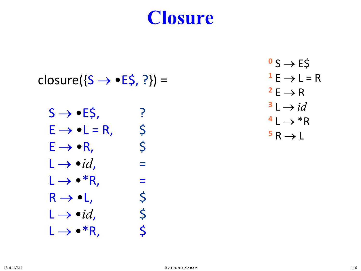$closure({S \rightarrow eE\$ , ?}) =

$$
S \rightarrow \bullet E\, \xi,
$$
\n
$$
E \rightarrow \bullet L = R,
$$
\n
$$
E \rightarrow \bullet R,
$$
\n
$$
L \rightarrow \bullet id,
$$
\n
$$
L \rightarrow \bullet * R,
$$
\n
$$
R \rightarrow \bullet L,
$$
\n
$$
L \rightarrow \bullet id,
$$
\n
$$
L \rightarrow \bullet id,
$$
\n
$$
\rightarrow \bullet * R,
$$
\n
$$
\bullet * R,
$$
\n
$$
\bullet * R,
$$
\n
$$
\bullet
$$

$$
0 S \rightarrow E\frac{S}{L}
$$
  
\n
$$
1 E \rightarrow L = R
$$
  
\n
$$
2 E \rightarrow R
$$
  
\n
$$
3 L \rightarrow id
$$
  
\n
$$
4 L \rightarrow *R
$$
  
\n
$$
5 R \rightarrow L
$$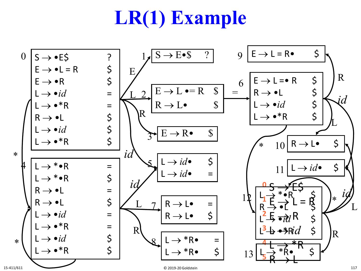# **LR(1) Example**

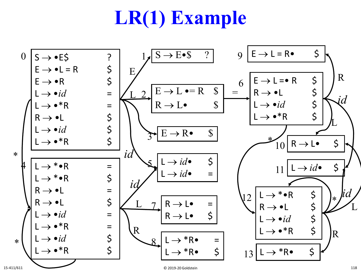# **LR(1) Example**

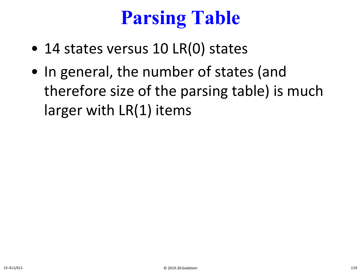# **Parsing Table**

- 14 states versus 10 LR(0) states
- In general, the number of states (and therefore size of the parsing table) is much larger with LR(1) items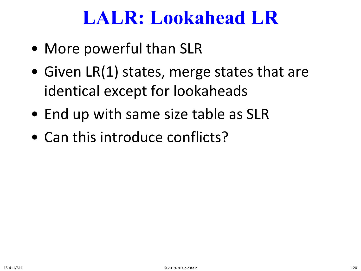### **LALR: Lookahead LR**

- More powerful than SLR
- Given LR(1) states, merge states that are identical except for lookaheads
- End up with same size table as SLR
- Can this introduce conflicts?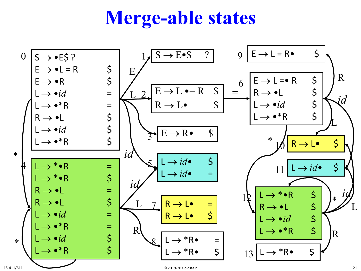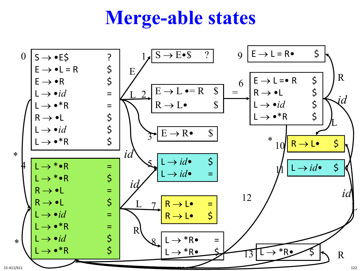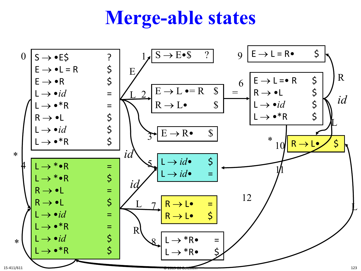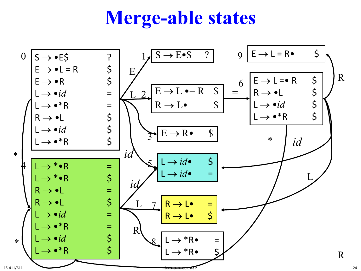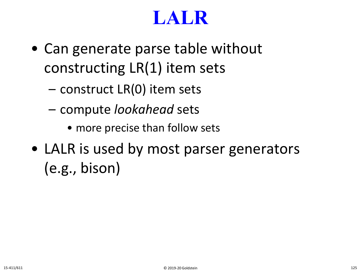## **LALR**

- Can generate parse table without constructing LR(1) item sets
	- construct LR(0) item sets
	- compute *lookahead* sets
		- more precise than follow sets
- LALR is used by most parser generators (e.g., bison)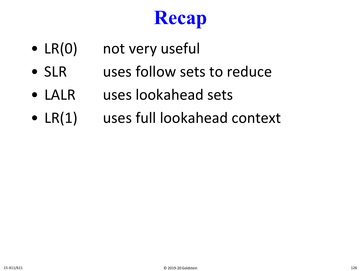# **Recap**

- LR(0) not very useful
- SLR uses follow sets to reduce
- LALR uses lookahead sets
- LR(1) uses full lookahead context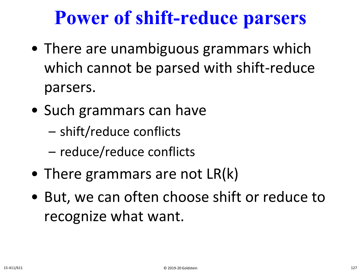## **Power of shift-reduce parsers**

- There are unambiguous grammars which which cannot be parsed with shift-reduce parsers.
- Such grammars can have
	- shift/reduce conflicts
	- reduce/reduce conflicts
- There grammars are not LR(k)
- But, we can often choose shift or reduce to recognize what want.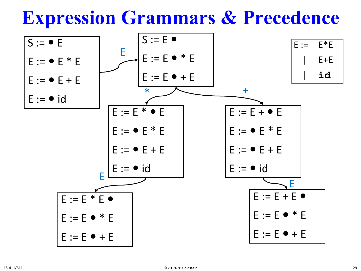**Expression Grammars & Precedence**

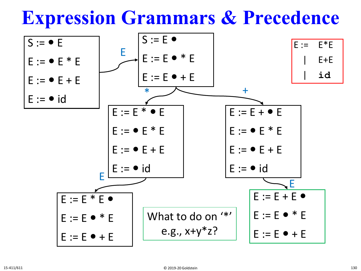### **Expression Grammars & Precedence**

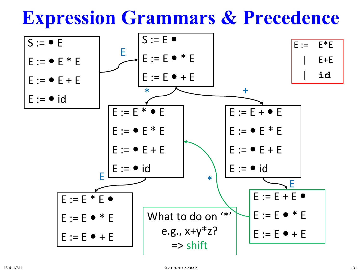**Expression Grammars & Precedence**

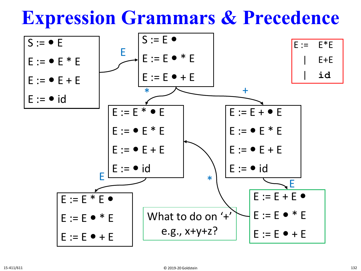**Expression Grammars & Precedence**

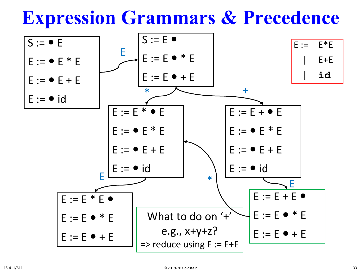**Expression Grammars & Precedence**

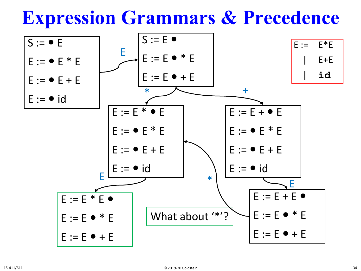**Expression Grammars & Precedence**